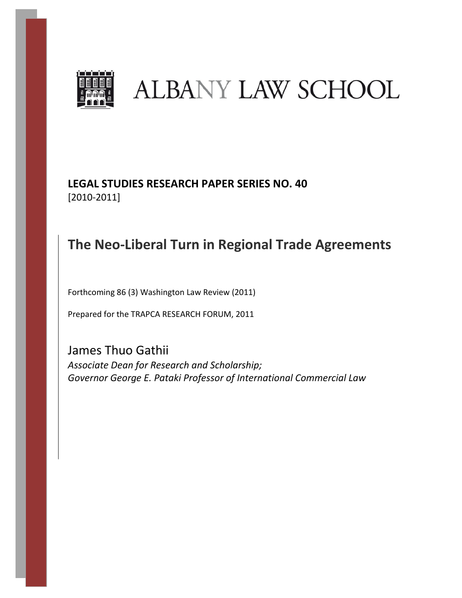

# **ALBANY LAW SCHOOL**

# **LEGAL STUDIES RESEARCH PAPER SERIES NO. 40** [2010-2011]

# **The Neo-Liberal Turn in Regional Trade Agreements**

Forthcoming 86 (3) Washington Law Review (2011)

Prepared for the TRAPCA RESEARCH FORUM, 2011

James Thuo Gathii *Associate Dean for Research and Scholarship; Governor George E. Pataki Professor of International Commercial Law*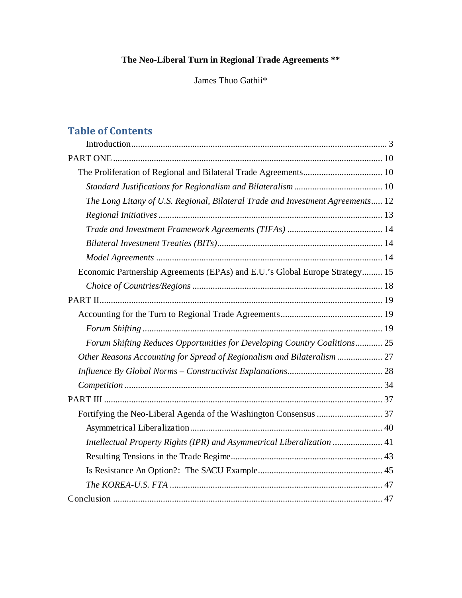### **The Neo-Liberal Turn in Regional Trade Agreements \*\***

James Thuo Gathii\*

## **Table of Contents**

| The Long Litany of U.S. Regional, Bilateral Trade and Investment Agreements 12 |
|--------------------------------------------------------------------------------|
|                                                                                |
|                                                                                |
|                                                                                |
|                                                                                |
| Economic Partnership Agreements (EPAs) and E.U.'s Global Europe Strategy 15    |
|                                                                                |
|                                                                                |
|                                                                                |
|                                                                                |
| Forum Shifting Reduces Opportunities for Developing Country Coalitions 25      |
| Other Reasons Accounting for Spread of Regionalism and Bilateralism  27        |
|                                                                                |
|                                                                                |
|                                                                                |
|                                                                                |
|                                                                                |
| Intellectual Property Rights (IPR) and Asymmetrical Liberalization  41         |
|                                                                                |
|                                                                                |
|                                                                                |
|                                                                                |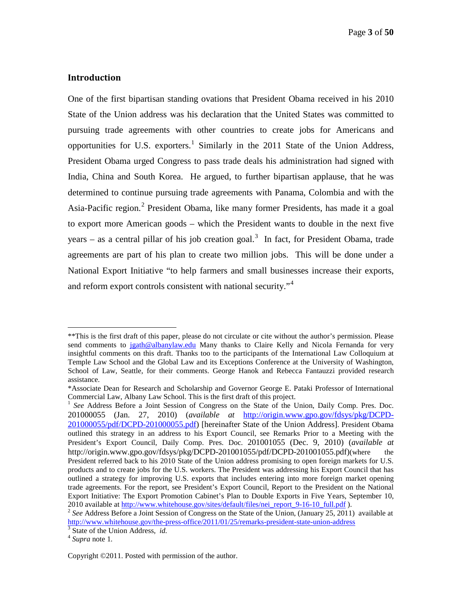#### <span id="page-2-0"></span>**Introduction**

One of the first bipartisan standing ovations that President Obama received in his 2010 State of the Union address was his declaration that the United States was committed to pursuing trade agreements with other countries to create jobs for Americans and opportunities for U.S. exporters.<sup>[1](#page-2-1)</sup> Similarly in the 2011 State of the Union Address, President Obama urged Congress to pass trade deals his administration had signed with India, China and South Korea. He argued, to further bipartisan applause, that he was determined to continue pursuing trade agreements with Panama, Colombia and with the Asia-Pacific region.<sup>[2](#page-2-2)</sup> President Obama, like many former Presidents, has made it a goal to export more American goods – which the President wants to double in the next five years – as a central pillar of his job creation goal.<sup>[3](#page-2-3)</sup> In fact, for President Obama, trade agreements are part of his plan to create two million jobs. This will be done under a National Export Initiative "to help farmers and small businesses increase their exports, and reform export controls consistent with national security."<sup>[4](#page-2-4)</sup>

<span id="page-2-1"></span> <sup>\*\*</sup>This is the first draft of this paper, please do not circulate or cite without the author's permission. Please send comments to [jgath@albanylaw.edu](mailto:jgath@albanylaw.edu) Many thanks to Claire Kelly and Nicola Fernanda for very insightful comments on this draft. Thanks too to the participants of the International Law Colloquium at Temple Law School and the Global Law and its Exceptions Conference at the University of Washington, School of Law, Seattle, for their comments. George Hanok and Rebecca Fantauzzi provided research assistance.

<sup>\*</sup>Associate Dean for Research and Scholarship and Governor George E. Pataki Professor of International Commercial Law, Albany Law School. This is the first draft of this project.

<sup>1</sup> *See* Address Before a Joint Session of Congress on the State of the Union, Daily Comp. Pres. Doc. 201000055 (Jan. 27, 2010) (*available at* [http://origin.www.gpo.gov/fdsys/pkg/DCPD-](http://origin.www.gpo.gov/fdsys/pkg/DCPD-201000055/pdf/DCPD-201000055.pdf)[201000055/pdf/DCPD-201000055.pdf\)](http://origin.www.gpo.gov/fdsys/pkg/DCPD-201000055/pdf/DCPD-201000055.pdf) [hereinafter State of the Union Address]. President Obama outlined this strategy in an address to his Export Council, see Remarks Prior to a Meeting with the President's Export Council, Daily Comp. Pres. Doc. 201001055 (Dec. 9, 2010) (*available at*  http://origin.www.gpo.gov/fdsys/pkg/DCPD-201001055/pdf/DCPD-201001055.pdf)(where the President referred back to his 2010 State of the Union address promising to open foreign markets for U.S. products and to create jobs for the U.S. workers. The President was addressing his Export Council that has outlined a strategy for improving U.S. exports that includes entering into more foreign market opening trade agreements. For the report, see President's Export Council, Report to the President on the National Export Initiative: The Export Promotion Cabinet's Plan to Double Exports in Five Years, September 10, 2010 available at http://www.whitehouse.gov/sites/default/files/nei report 9-16-10 full.pdf).

<span id="page-2-2"></span><sup>&</sup>lt;sup>2</sup> See Address Before a Joint Session of Congress on the State of the Union, (January 25, 2011) available at <http://www.whitehouse.gov/the-press-office/2011/01/25/remarks-president-state-union-address><br><sup>3</sup> State of the Union Address, *id.* 4 *Supra* note 1.

<span id="page-2-4"></span><span id="page-2-3"></span>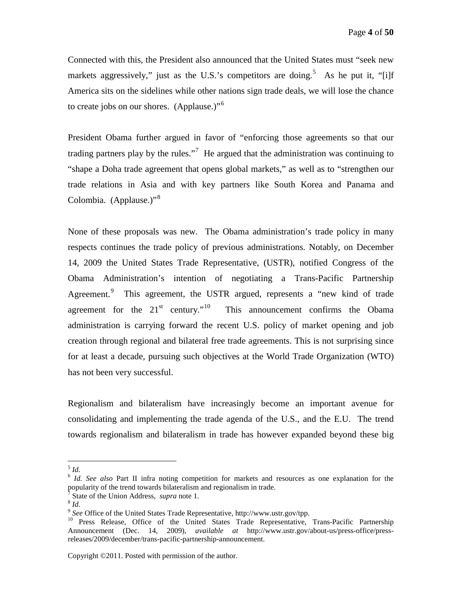Connected with this, the President also announced that the United States must "seek new markets aggressively," just as the U.S.'s competitors are doing.<sup>[5](#page-3-0)</sup> As he put it, "[i]f America sits on the sidelines while other nations sign trade deals, we will lose the chance to create jobs on our shores. (Applause.) $16$  $16$ 

President Obama further argued in favor of "enforcing those agreements so that our trading partners play by the rules."<sup>[7](#page-3-2)</sup> He argued that the administration was continuing to "shape a Doha trade agreement that opens global markets," as well as to "strengthen our trade relations in Asia and with key partners like South Korea and Panama and Colombia. (Applause.)"<sup>[8](#page-3-3)</sup>

None of these proposals was new. The Obama administration's trade policy in many respects continues the trade policy of previous administrations. Notably, on December 14, 2009 the United States Trade Representative, (USTR), notified Congress of the Obama Administration's intention of negotiating a Trans-Pacific Partnership Agreement.<sup>[9](#page-3-4)</sup> This agreement, the USTR argued, represents a "new kind of trade" agreement for the  $21^{st}$  century."<sup>10</sup> This announcement confirms the Obama administration is carrying forward the recent U.S. policy of market opening and job creation through regional and bilateral free trade agreements. This is not surprising since for at least a decade, pursuing such objectives at the World Trade Organization (WTO) has not been very successful.

Regionalism and bilateralism have increasingly become an important avenue for consolidating and implementing the trade agenda of the U.S., and the E.U. The trend towards regionalism and bilateralism in trade has however expanded beyond these big

<span id="page-3-0"></span> <sup>5</sup> *Id.*

<span id="page-3-1"></span><sup>6</sup> *Id. See also* Part II infra noting competition for markets and resources as one explanation for the popularity of the trend towards bilateralism and regionalism in trade.

<span id="page-3-3"></span>

<span id="page-3-2"></span><sup>&</sup>lt;sup>7</sup> State of the Union Address, *supra* note 1.<br><sup>8</sup> *Id.* 9 See Office of the United States Trade Representative, http://www.ustr.gov/tpp.

<span id="page-3-5"></span><span id="page-3-4"></span><sup>&</sup>lt;sup>10</sup> Press Release, Office of the United States Trade Representative, Trans-Pacific Partnership Announcement (Dec. 14, 2009), *available at* http://www.ustr.gov/about-us/press-office/pressreleases/2009/december/trans-pacific-partnership-announcement.

Copyright ©2011. Posted with permission of the author.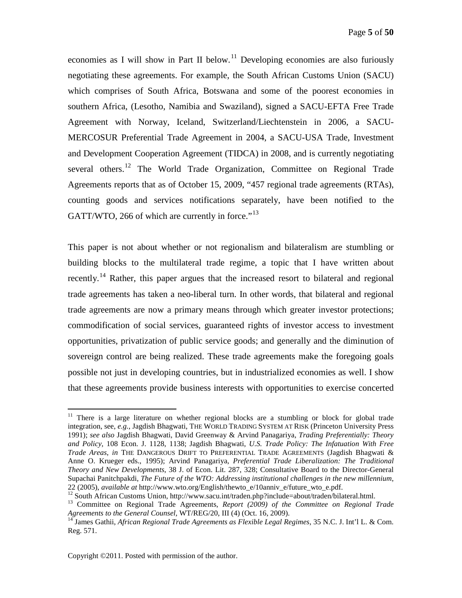economies as I will show in Part II below.<sup>[11](#page-4-0)</sup> Developing economies are also furiously negotiating these agreements. For example, the South African Customs Union (SACU) which comprises of South Africa, Botswana and some of the poorest economies in southern Africa, (Lesotho, Namibia and Swaziland), signed a SACU-EFTA Free Trade Agreement with Norway, Iceland, Switzerland/Liechtenstein in 2006, a SACU-MERCOSUR Preferential Trade Agreement in 2004, a SACU-USA Trade, Investment and Development Cooperation Agreement (TIDCA) in 2008, and is currently negotiating several others.<sup>[12](#page-4-1)</sup> The World Trade Organization, Committee on Regional Trade Agreements reports that as of October 15, 2009, "457 regional trade agreements (RTAs), counting goods and services notifications separately, have been notified to the GATT/WTO, 266 of which are currently in force."<sup>[13](#page-4-2)</sup>

This paper is not about whether or not regionalism and bilateralism are stumbling or building blocks to the multilateral trade regime, a topic that I have written about recently.<sup>[14](#page-4-3)</sup> Rather, this paper argues that the increased resort to bilateral and regional trade agreements has taken a neo-liberal turn. In other words, that bilateral and regional trade agreements are now a primary means through which greater investor protections; commodification of social services, guaranteed rights of investor access to investment opportunities, privatization of public service goods; and generally and the diminution of sovereign control are being realized. These trade agreements make the foregoing goals possible not just in developing countries, but in industrialized economies as well. I show that these agreements provide business interests with opportunities to exercise concerted

<span id="page-4-0"></span> $11$  There is a large literature on whether regional blocks are a stumbling or block for global trade integration, see, *e.g.*, Jagdish Bhagwati, THE WORLD TRADING SYSTEM AT RISK (Princeton University Press 1991); *see also* Jagdish Bhagwati, David Greenway & Arvind Panagariya, *Trading Preferentially: Theory and Policy*, 108 Econ. J. 1128, 1138; Jagdish Bhagwati, *U.S. Trade Policy: The Infatuation With Free Trade Areas*, *in* THE DANGEROUS DRIFT TO PREFERENTIAL TRADE AGREEMENTS (Jagdish Bhagwati & Anne O. Krueger eds., 1995); Arvind Panagariya, *Preferential Trade Liberalization: The Traditional Theory and New Developments*, 38 J. of Econ. Lit. 287, 328; Consultative Board to the Director-General Supachai Panitchpakdi, *The Future of the WTO: Addressing institutional challenges in the new millennium*, 22 (2005), *available at* http://www.wto.org/English/thewto\_e/10anniv\_e/future\_wto\_e.pdf.

<span id="page-4-2"></span><span id="page-4-1"></span><sup>&</sup>lt;sup>13</sup> Committee on Regional Trade Agreements, *Report (2009) of the Committee on Regional Trade Agreements to the General Counsel,* WT/REG/20, III<sup>(4)</sup> (Oct. 16, 2009).<br><sup>14</sup> James Gathii, *African Regional Trade Agreements as Flexible Legal Regimes, 35 N.C. J. Int'l L. & Com.* 

<span id="page-4-3"></span>Reg. 571.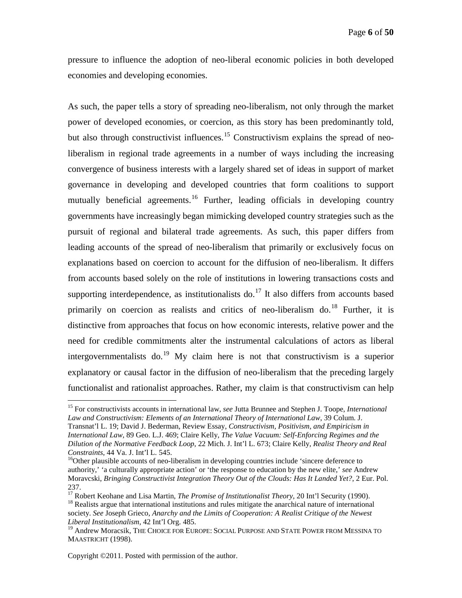pressure to influence the adoption of neo-liberal economic policies in both developed economies and developing economies.

As such, the paper tells a story of spreading neo-liberalism, not only through the market power of developed economies, or coercion, as this story has been predominantly told, but also through constructivist influences.<sup>[15](#page-5-0)</sup> Constructivism explains the spread of neoliberalism in regional trade agreements in a number of ways including the increasing convergence of business interests with a largely shared set of ideas in support of market governance in developing and developed countries that form coalitions to support mutually beneficial agreements.<sup>[16](#page-5-1)</sup> Further, leading officials in developing country governments have increasingly began mimicking developed country strategies such as the pursuit of regional and bilateral trade agreements. As such, this paper differs from leading accounts of the spread of neo-liberalism that primarily or exclusively focus on explanations based on coercion to account for the diffusion of neo-liberalism. It differs from accounts based solely on the role of institutions in lowering transactions costs and supporting interdependence, as institutionalists do.<sup>[17](#page-5-2)</sup> It also differs from accounts based primarily on coercion as realists and critics of neo-liberalism do.<sup>[18](#page-5-3)</sup> Further, it is distinctive from approaches that focus on how economic interests, relative power and the need for credible commitments alter the instrumental calculations of actors as liberal intergovernmentalists do.<sup>[19](#page-5-4)</sup> My claim here is not that constructivism is a superior explanatory or causal factor in the diffusion of neo-liberalism that the preceding largely functionalist and rationalist approaches. Rather, my claim is that constructivism can help

<span id="page-5-0"></span> <sup>15</sup> For constructivists accounts in international law, *see* Jutta Brunnee and Stephen J. Toope, *International Law and Constructivism: Elements of an International Theory of International Law*, 39 Colum. J. Transnat'l L. 19; David J. Bederman, Review Essay, *Constructivism, Positivism, and Empiricism in International Law*, 89 Geo. L.J. 469; Claire Kelly, *The Value Vacuum: Self-Enforcing Regimes and the Dilution of the Normative Feedback Loop*, 22 Mich. J. Int'l L. 673; Claire Kelly, *Realist Theory and Real Constraints*, 44 Va. J. Int'l L. 545.

<span id="page-5-1"></span><sup>&</sup>lt;sup>16</sup>Other plausible accounts of neo-liberalism in developing countries include 'sincere deference to authority,' 'a culturally appropriate action' or 'the response to education by the new elite,' *see* Andrew Moravcski, *Bringing Constructivist Integration Theory Out of the Clouds: Has It Landed Yet?*, 2 Eur. Pol. 237.<br><sup>17</sup> Robert Keohane and Lisa Martin, *The Promise of Institutionalist Theory*, 20 Int'l Security (1990).

<span id="page-5-3"></span><span id="page-5-2"></span><sup>&</sup>lt;sup>18</sup> Realists argue that international institutions and rules mitigate the anarchical nature of international society. *See* Joseph Grieco, *Anarchy and the Limits of Cooperation: A Realist Critique of the Newest Liberal Institutionalism*, 42 Int'l Org. 485.

<span id="page-5-4"></span><sup>&</sup>lt;sup>19</sup> Andrew Moracsik, THE CHOICE FOR EUROPE: SOCIAL PURPOSE AND STATE POWER FROM MESSINA TO MAASTRICHT (1998).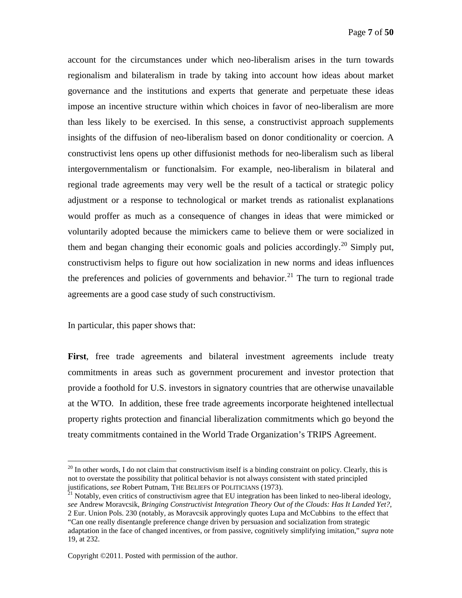account for the circumstances under which neo-liberalism arises in the turn towards regionalism and bilateralism in trade by taking into account how ideas about market governance and the institutions and experts that generate and perpetuate these ideas impose an incentive structure within which choices in favor of neo-liberalism are more than less likely to be exercised. In this sense, a constructivist approach supplements insights of the diffusion of neo-liberalism based on donor conditionality or coercion. A constructivist lens opens up other diffusionist methods for neo-liberalism such as liberal intergovernmentalism or functionalsim. For example, neo-liberalism in bilateral and regional trade agreements may very well be the result of a tactical or strategic policy adjustment or a response to technological or market trends as rationalist explanations would proffer as much as a consequence of changes in ideas that were mimicked or voluntarily adopted because the mimickers came to believe them or were socialized in them and began changing their economic goals and policies accordingly.<sup>[20](#page-6-0)</sup> Simply put, constructivism helps to figure out how socialization in new norms and ideas influences the preferences and policies of governments and behavior.<sup>[21](#page-6-1)</sup> The turn to regional trade agreements are a good case study of such constructivism.

In particular, this paper shows that:

**First**, free trade agreements and bilateral investment agreements include treaty commitments in areas such as government procurement and investor protection that provide a foothold for U.S. investors in signatory countries that are otherwise unavailable at the WTO. In addition, these free trade agreements incorporate heightened intellectual property rights protection and financial liberalization commitments which go beyond the treaty commitments contained in the World Trade Organization's TRIPS Agreement.

<span id="page-6-0"></span> $20$  In other words, I do not claim that constructivism itself is a binding constraint on policy. Clearly, this is not to overstate the possibility that political behavior is not always consistent with stated principled justifications, see Robert Putnam, THE BELIEFS OF POLITICIANS (1973).

<span id="page-6-1"></span><sup>&</sup>lt;sup>21</sup> Notably, even critics of constructivism agree that EU integration has been linked to neo-liberal ideology, *see* Andrew Moravcsik, *Bringing Constructivist Integration Theory Out of the Clouds: Has It Landed Yet?*, 2 Eur. Union Pols. 230 (notably, as Moravcsik approvingly quotes Lupa and McCubbins to the effect that "Can one really disentangle preference change driven by persuasion and socialization from strategic adaptation in the face of changed incentives, or from passive, cognitively simplifying imitation," *supra* note 19, at 232.

Copyright ©2011. Posted with permission of the author.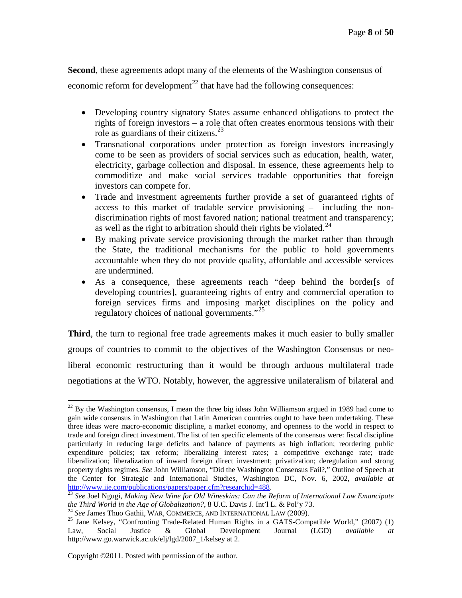**Second**, these agreements adopt many of the elements of the Washington consensus of economic reform for development<sup>[22](#page-7-0)</sup> that have had the following consequences:

- Developing country signatory States assume enhanced obligations to protect the rights of foreign investors – a role that often creates enormous tensions with their role as guardians of their citizens.<sup>[23](#page-7-1)</sup>
- Transnational corporations under protection as foreign investors increasingly come to be seen as providers of social services such as education, health, water, electricity, garbage collection and disposal. In essence, these agreements help to commoditize and make social services tradable opportunities that foreign investors can compete for.
- Trade and investment agreements further provide a set of guaranteed rights of access to this market of tradable service provisioning – including the nondiscrimination rights of most favored nation; national treatment and transparency; as well as the right to arbitration should their rights be violated.<sup>[24](#page-7-2)</sup>
- By making private service provisioning through the market rather than through the State, the traditional mechanisms for the public to hold governments accountable when they do not provide quality, affordable and accessible services are undermined.
- As a consequence, these agreements reach "deep behind the border[s of developing countries], guaranteeing rights of entry and commercial operation to foreign services firms and imposing market disciplines on the policy and regulatory choices of national governments."<sup>[25](#page-7-3)</sup>

**Third**, the turn to regional free trade agreements makes it much easier to bully smaller groups of countries to commit to the objectives of the Washington Consensus or neoliberal economic restructuring than it would be through arduous multilateral trade negotiations at the WTO. Notably, however, the aggressive unilateralism of bilateral and

<span id="page-7-0"></span> $22$  By the Washington consensus, I mean the three big ideas John Williamson argued in 1989 had come to gain wide consensus in Washington that Latin American countries ought to have been undertaking. These three ideas were macro-economic discipline, a market economy, and openness to the world in respect to trade and foreign direct investment. The list of ten specific elements of the consensus were: fiscal discipline particularly in reducing large deficits and balance of payments as high inflation; reordering public expenditure policies; tax reform; liberalizing interest rates; a competitive exchange rate; trade liberalization; liberalization of inward foreign direct investment; privatization; deregulation and strong property rights regimes. *See* John Williamson, "Did the Washington Consensus Fail?," Outline of Speech at the Center for Strategic and International Studies, Washington DC, Nov. 6, 2002, *available at*

<span id="page-7-1"></span><sup>&</sup>lt;sup>[23](http://www.iie.com/publications/papers/paper.cfm?researchid=488)</sup> See Joel Ngugi, *Making New Wine for Old Wineskins: Can the Reform of International Law Emancipate the Third World in the Age of Globalization?, 8 U.C. Davis J. Int'l L. & Pol'y 73.* 

<span id="page-7-3"></span><span id="page-7-2"></span><sup>&</sup>lt;sup>24</sup> See James Thuo Gathii, WAR, COMMERCE, AND INTERNATIONAL LAW (2009).<br><sup>25</sup> Jane Kelsey, "Confronting Trade-Related Human Rights in a GATS-Compatible World," (2007) (1) Law, Social Justice & Global Development Journal (LGD) *available at* http://www.go.warwick.ac.uk/elj/lgd/2007\_1/kelsey at 2.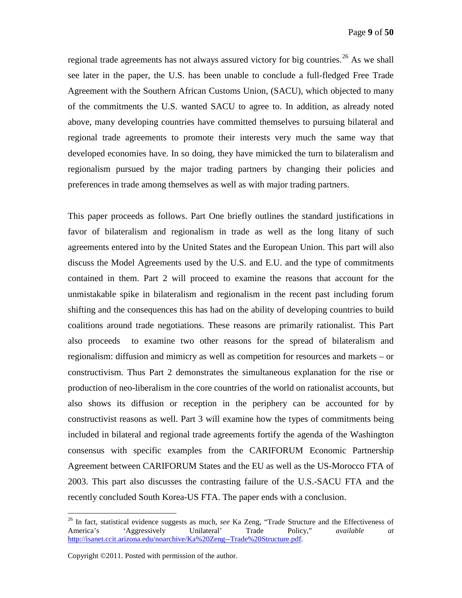regional trade agreements has not always assured victory for big countries.<sup>[26](#page-8-0)</sup> As we shall see later in the paper, the U.S. has been unable to conclude a full-fledged Free Trade Agreement with the Southern African Customs Union, (SACU), which objected to many of the commitments the U.S. wanted SACU to agree to. In addition, as already noted above, many developing countries have committed themselves to pursuing bilateral and regional trade agreements to promote their interests very much the same way that developed economies have. In so doing, they have mimicked the turn to bilateralism and regionalism pursued by the major trading partners by changing their policies and preferences in trade among themselves as well as with major trading partners.

This paper proceeds as follows. Part One briefly outlines the standard justifications in favor of bilateralism and regionalism in trade as well as the long litany of such agreements entered into by the United States and the European Union. This part will also discuss the Model Agreements used by the U.S. and E.U. and the type of commitments contained in them. Part 2 will proceed to examine the reasons that account for the unmistakable spike in bilateralism and regionalism in the recent past including forum shifting and the consequences this has had on the ability of developing countries to build coalitions around trade negotiations. These reasons are primarily rationalist. This Part also proceeds to examine two other reasons for the spread of bilateralism and regionalism: diffusion and mimicry as well as competition for resources and markets – or constructivism. Thus Part 2 demonstrates the simultaneous explanation for the rise or production of neo-liberalism in the core countries of the world on rationalist accounts, but also shows its diffusion or reception in the periphery can be accounted for by constructivist reasons as well. Part 3 will examine how the types of commitments being included in bilateral and regional trade agreements fortify the agenda of the Washington consensus with specific examples from the CARIFORUM Economic Partnership Agreement between CARIFORUM States and the EU as well as the US-Morocco FTA of 2003. This part also discusses the contrasting failure of the U.S.-SACU FTA and the recently concluded South Korea-US FTA. The paper ends with a conclusion.

<span id="page-8-0"></span><sup>&</sup>lt;sup>26</sup> In fact, statistical evidence suggests as much, *see* Ka Zeng, "Trade Structure and the Effectiveness of America's 'Aggressively Unilateral' Trade Policy," *available at* America's 'Aggressively Unilateral' Trade Policy," *available at* [http://isanet.ccit.arizona.edu/noarchive/Ka%20Zeng--Trade%20Structure.pdf.](http://isanet.ccit.arizona.edu/noarchive/Ka%20Zeng--Trade%20Structure.pdf)

Copyright ©2011. Posted with permission of the author.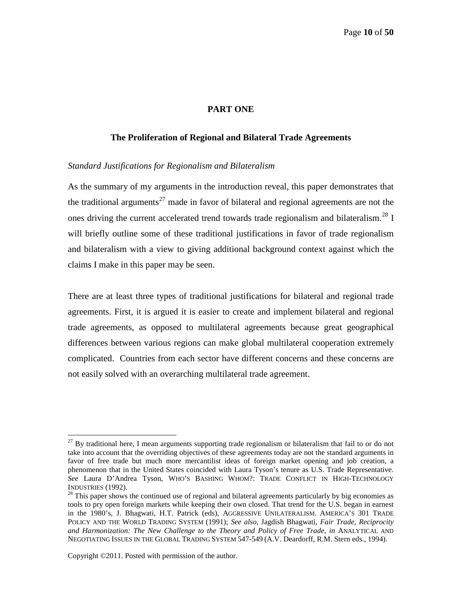#### **PART ONE**

#### <span id="page-9-0"></span>**The Proliferation of Regional and Bilateral Trade Agreements**

#### <span id="page-9-2"></span><span id="page-9-1"></span>*Standard Justifications for Regionalism and Bilateralism*

As the summary of my arguments in the introduction reveal, this paper demonstrates that the traditional arguments<sup>[27](#page-9-3)</sup> made in favor of bilateral and regional agreements are not the ones driving the current accelerated trend towards trade regionalism and bilateralism.<sup>[28](#page-9-4)</sup> I will briefly outline some of these traditional justifications in favor of trade regionalism and bilateralism with a view to giving additional background context against which the claims I make in this paper may be seen.

There are at least three types of traditional justifications for bilateral and regional trade agreements. First, it is argued it is easier to create and implement bilateral and regional trade agreements, as opposed to multilateral agreements because great geographical differences between various regions can make global multilateral cooperation extremely complicated. Countries from each sector have different concerns and these concerns are not easily solved with an overarching multilateral trade agreement.

<span id="page-9-3"></span> $27$  By traditional here, I mean arguments supporting trade regionalism or bilateralism that fail to or do not take into account that the overriding objectives of these agreements today are not the standard arguments in favor of free trade but much more mercantilist ideas of foreign market opening and job creation, a phenomenon that in the United States coincided with Laura Tyson's tenure as U.S. Trade Representative. *See* Laura D'Andrea Tyson, WHO'S BASHING WHOM?: TRADE CONFLICT IN HIGH-TECHNOLOGY INDUSTRIES (1992).<br><sup>28</sup> This paper shows the continued use of regional and bilateral agreements particularly by big economies as

<span id="page-9-4"></span>tools to pry open foreign markets while keeping their own closed. That trend for the U.S. began in earnest in the 1980's, J. Bhagwati, H.T. Patrick (eds), AGGRESSIVE UNILATERALISM. AMERICA'S 301 TRADE POLICY AND THE WORLD TRADING SYSTEM (1991); *See also*, Jagdish Bhagwati, *Fair Trade, Reciprocity and Harmonization: The New Challenge to the Theory and Policy of Free Trade*, *in* ANALYTICAL AND NEGOTIATING ISSUES IN THE GLOBAL TRADING SYSTEM 547-549 (A.V. Deardorff, R.M. Stern eds., 1994).

Copyright ©2011. Posted with permission of the author.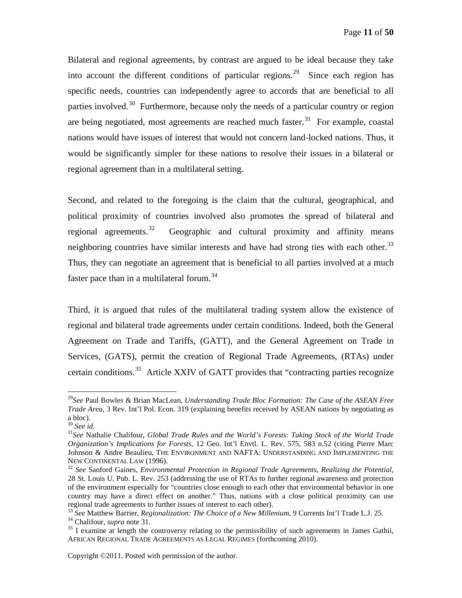Bilateral and regional agreements, by contrast are argued to be ideal because they take into account the different conditions of particular regions.<sup>[29](#page-10-0)</sup> Since each region has specific needs, countries can independently agree to accords that are beneficial to all parties involved.<sup>[30](#page-10-1)</sup> Furthermore, because only the needs of a particular country or region are being negotiated, most agreements are reached much faster.<sup>[31](#page-10-2)</sup> For example, coastal nations would have issues of interest that would not concern land-locked nations. Thus, it would be significantly simpler for these nations to resolve their issues in a bilateral or regional agreement than in a multilateral setting.

Second, and related to the foregoing is the claim that the cultural, geographical, and political proximity of countries involved also promotes the spread of bilateral and regional agreements.<sup>[32](#page-10-3)</sup> Geographic and cultural proximity and affinity means neighboring countries have similar interests and have had strong ties with each other.<sup>[33](#page-10-4)</sup> Thus, they can negotiate an agreement that is beneficial to all parties involved at a much faster pace than in a multilateral forum.<sup>[34](#page-10-5)</sup>

Third, it is argued that rules of the multilateral trading system allow the existence of regional and bilateral trade agreements under certain conditions. Indeed, both the General Agreement on Trade and Tariffs, (GATT), and the General Agreement on Trade in Services, (GATS), permit the creation of Regional Trade Agreements, (RTAs) under certain conditions.<sup>[35](#page-10-6)</sup> Article XXIV of GATT provides that "contracting parties recognize

<span id="page-10-0"></span> <sup>29</sup>*See* Paul Bowles & Brian MacLean, *Understanding Trade Bloc Formation: The Case of the ASEAN Free Trade Area*, 3 Rev. Int'l Pol. Econ. 319 (explaining benefits received by ASEAN nations by negotiating as a bloc).<br> $30 \text{ See } id.$ 

<span id="page-10-2"></span><span id="page-10-1"></span><sup>&</sup>lt;sup>31</sup> See Nathalie Chalifour, *Global Trade Rules and the World's Forests: Taking Stock of the World Trade Organization's Implications for Forests*, 12 Geo. Int'l Envtl. L. Rev. 575, 583 n.52 (citing Pierre Marc Johnson & Andre Beaulieu, The ENVIRONMENT AND NAFTA: UNDERSTANDING AND IMPLEMENTING THE NEW CONTINENTAL LAW (1996).

<span id="page-10-3"></span><sup>&</sup>lt;sup>32</sup> See Sanford Gaines, *Environmental Protection in Regional Trade Agreements, Realizing the Potential*, 28 St. Louis U. Pub. L. Rev. 253 (addressing the use of RTAs to further regional awareness and protection of the environment especially for "countries close enough to each other that environmental behavior in one country may have a direct effect on another." Thus, nations with a close political proximity can use regional trade agreements to further issues of interest to each other).<br><sup>33</sup> See Matthew Barrier, *Regionalization: The Choice of a New Millenium*, 9 Currents Int'l Trade L.J. 25.

<span id="page-10-6"></span><span id="page-10-5"></span><span id="page-10-4"></span><sup>&</sup>lt;sup>34</sup> Chalifour, *supra* note 31.<br><sup>35</sup> I examine at length the controversy relating to the permissibility of such agreements in James Gathii, AFRICAN REGIONAL TRADE AGREEMENTS AS LEGAL REGIMES (forthcoming 2010).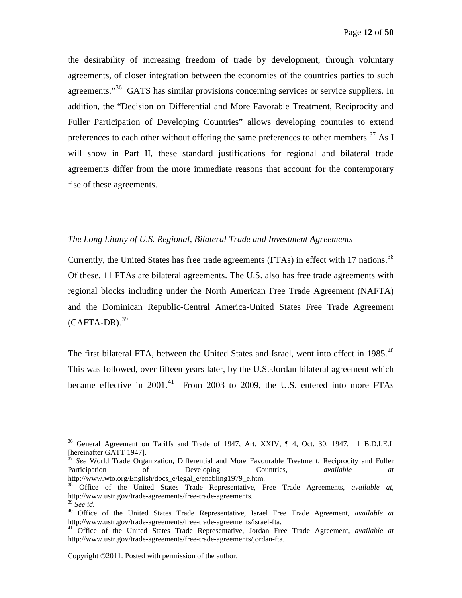the desirability of increasing freedom of trade by development, through voluntary agreements, of closer integration between the economies of the countries parties to such agreements."<sup>[36](#page-11-1)</sup> GATS has similar provisions concerning services or service suppliers. In addition, the "Decision on Differential and More Favorable Treatment, Reciprocity and Fuller Participation of Developing Countries" allows developing countries to extend preferences to each other without offering the same preferences to other members.<sup>[37](#page-11-2)</sup> As I will show in Part II, these standard justifications for regional and bilateral trade agreements differ from the more immediate reasons that account for the contemporary rise of these agreements.

#### <span id="page-11-0"></span>*The Long Litany of U.S. Regional, Bilateral Trade and Investment Agreements*

Currently, the United States has free trade agreements (FTAs) in effect with 17 nations.<sup>[38](#page-11-3)</sup> Of these, 11 FTAs are bilateral agreements. The U.S. also has free trade agreements with regional blocks including under the North American Free Trade Agreement (NAFTA) and the Dominican Republic-Central America-United States Free Trade Agreement  $(CAFTA-DR).$ <sup>39</sup>

The first bilateral FTA, between the United States and Israel, went into effect in 1985.<sup>[40](#page-11-5)</sup> This was followed, over fifteen years later, by the U.S.-Jordan bilateral agreement which became effective in  $2001$ .<sup>[41](#page-11-6)</sup> From 2003 to 2009, the U.S. entered into more FTAs

<span id="page-11-1"></span><sup>&</sup>lt;sup>36</sup> General Agreement on Tariffs and Trade of 1947, Art. XXIV, ¶ 4, Oct. 30, 1947, 1 B.D.I.E.L [hereinafter GATT 1947].

<span id="page-11-2"></span><sup>&</sup>lt;sup>37</sup> See World Trade Organization, Differential and More Favourable Treatment, Reciprocity and Fuller Participation of Developing Countries, *available at* http://www.wto.org/English/docs\_e/legal\_e/enabling1979\_e.htm.

<span id="page-11-3"></span><sup>38</sup> Office of the United States Trade Representative, Free Trade Agreements, *available at*, http://www.ustr.gov/trade-agreements/free-trade-agreements.<br><sup>39</sup> See id.

<span id="page-11-5"></span><span id="page-11-4"></span><sup>&</sup>lt;sup>40</sup> Office of the United States Trade Representative, Israel Free Trade Agreement, *available at* http://www.ustr.gov/trade-agreements/free-trade-agreements/israel-fta.

<span id="page-11-6"></span><sup>&</sup>lt;sup>41</sup> Office of the United States Trade Representative, Jordan Free Trade Agreement, *available at* http://www.ustr.gov/trade-agreements/free-trade-agreements/jordan-fta.

Copyright ©2011. Posted with permission of the author.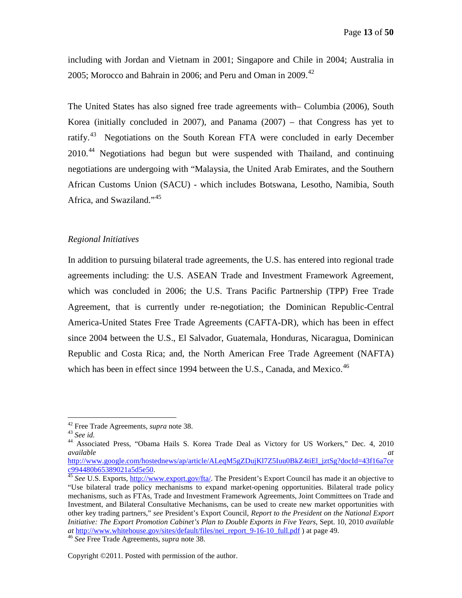including with Jordan and Vietnam in 2001; Singapore and Chile in 2004; Australia in 2005; Morocco and Bahrain in 2006; and Peru and Oman in 2009.<sup>[42](#page-12-1)</sup>

The United States has also signed free trade agreements with– Columbia (2006), South Korea (initially concluded in 2007), and Panama (2007) – that Congress has yet to ratify.<sup>43</sup> Negotiations on the South Korean FTA were concluded in early December 2010<sup>[44](#page-12-3)</sup> Negotiations had begun but were suspended with Thailand, and continuing negotiations are undergoing with "Malaysia, the United Arab Emirates, and the Southern African Customs Union (SACU) - which includes Botswana, Lesotho, Namibia, South Africa, and Swaziland."[45](#page-12-4)

#### <span id="page-12-0"></span>*Regional Initiatives*

In addition to pursuing bilateral trade agreements, the U.S. has entered into regional trade agreements including: the U.S. ASEAN Trade and Investment Framework Agreement, which was concluded in 2006; the U.S. Trans Pacific Partnership (TPP) Free Trade Agreement, that is currently under re-negotiation; the Dominican Republic-Central America-United States Free Trade Agreements (CAFTA-DR), which has been in effect since 2004 between the U.S., El Salvador, Guatemala, Honduras, Nicaragua, Dominican Republic and Costa Rica; and, the North American Free Trade Agreement (NAFTA) which has been in effect since 1994 between the U.S., Canada, and Mexico.<sup>[46](#page-12-5)</sup>

<span id="page-12-3"></span>

<span id="page-12-2"></span><span id="page-12-1"></span><sup>42</sup> Free Trade Agreements, *supra* note 38. <sup>43</sup> *See id.* <sup>44</sup> Associated Press, "Obama Hails S. Korea Trade Deal as Victory for US Workers," Dec. 4, 2010 *available at*

[http://www.google.com/hostednews/ap/article/ALeqM5gZDujKl7Z5Iuu0BkZ4tiEl\\_jztSg?docId=43f16a7ce](http://www.google.com/hostednews/ap/article/ALeqM5gZDujKl7Z5Iuu0BkZ4tiEl_jztSg?docId=43f16a7cec994480b65389021a5d5e50) [c994480b65389021a5d5e50.](http://www.google.com/hostednews/ap/article/ALeqM5gZDujKl7Z5Iuu0BkZ4tiEl_jztSg?docId=43f16a7cec994480b65389021a5d5e50) <sup>45</sup> *See* U.S. Exports, [http://www.export.gov/fta/.](http://www.export.gov/fta/) The President's Export Council has made it an objective to

<span id="page-12-4"></span><sup>&</sup>quot;Use bilateral trade policy mechanisms to expand market-opening opportunities. Bilateral trade policy mechanisms, such as FTAs, Trade and Investment Framework Agreements, Joint Committees on Trade and Investment, and Bilateral Consultative Mechanisms, can be used to create new market opportunities with other key trading partners," *see* President's Export Council, *Report to the President on the National Export Initiative: The Export Promotion Cabinet's Plan to Double Exports in Five Years*, Sept. 10, 2010 *available at* [http://www.whitehouse.gov/sites/default/files/nei\\_report\\_9-16-10\\_full.pdf](http://www.whitehouse.gov/sites/default/files/nei_report_9-16-10_full.pdf) ) at page 49. <sup>46</sup> *See* Free Trade Agreements, *supra* note 38.

<span id="page-12-5"></span>

Copyright ©2011. Posted with permission of the author.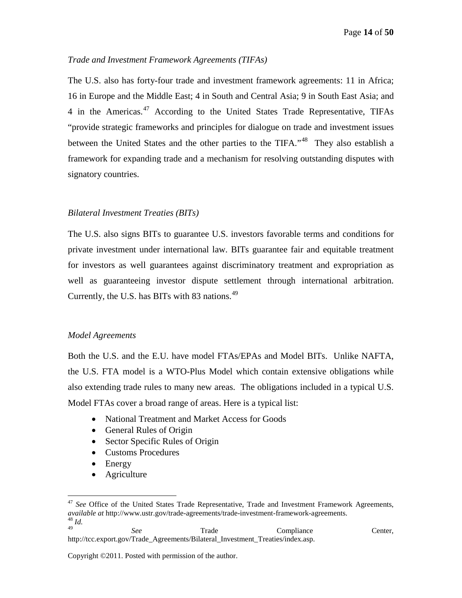#### <span id="page-13-0"></span>*Trade and Investment Framework Agreements (TIFAs)*

The U.S. also has forty-four trade and investment framework agreements: 11 in Africa; 16 in Europe and the Middle East; 4 in South and Central Asia; 9 in South East Asia; and 4 in the Americas. $47$  According to the United States Trade Representative, TIFAs "provide strategic frameworks and principles for dialogue on trade and investment issues between the United States and the other parties to the TIFA."<sup>[48](#page-13-4)</sup> They also establish a framework for expanding trade and a mechanism for resolving outstanding disputes with signatory countries.

#### <span id="page-13-1"></span>*Bilateral Investment Treaties (BITs)*

The U.S. also signs BITs to guarantee U.S. investors favorable terms and conditions for private investment under international law. BITs guarantee fair and equitable treatment for investors as well guarantees against discriminatory treatment and expropriation as well as guaranteeing investor dispute settlement through international arbitration. Currently, the U.S. has BITs with 83 nations.[49](#page-13-5)

#### <span id="page-13-2"></span>*Model Agreements*

Both the U.S. and the E.U. have model FTAs/EPAs and Model BITs. Unlike NAFTA, the U.S. FTA model is a WTO-Plus Model which contain extensive obligations while also extending trade rules to many new areas. The obligations included in a typical U.S. Model FTAs cover a broad range of areas. Here is a typical list:

- National Treatment and Market Access for Goods
- General Rules of Origin
- Sector Specific Rules of Origin
- Customs Procedures
- Energy
- Agriculture

<span id="page-13-5"></span><span id="page-13-4"></span><sup>49</sup> *See* Trade Compliance Center, http://tcc.export.gov/Trade\_Agreements/Bilateral\_Investment\_Treaties/index.asp.

<span id="page-13-3"></span><sup>&</sup>lt;sup>47</sup> See Office of the United States Trade Representative, Trade and Investment Framework Agreements, *available at* http://www.ustr.gov/trade-agreements/trade-investment-framework-agreements. <sup>48</sup> *Id.*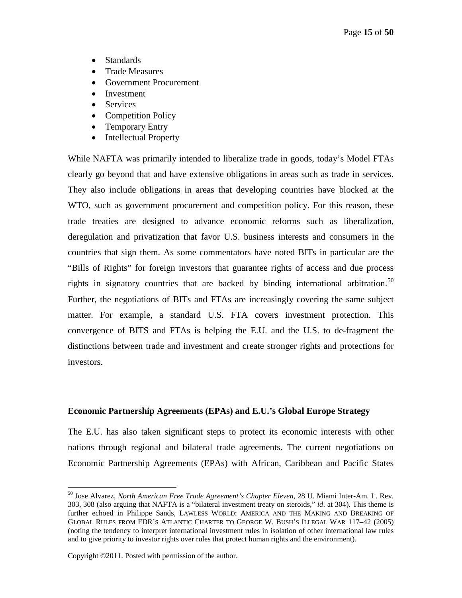- Standards
- Trade Measures
- Government Procurement
- Investment
- Services
- Competition Policy
- Temporary Entry
- Intellectual Property

While NAFTA was primarily intended to liberalize trade in goods, today's Model FTAs clearly go beyond that and have extensive obligations in areas such as trade in services. They also include obligations in areas that developing countries have blocked at the WTO, such as government procurement and competition policy. For this reason, these trade treaties are designed to advance economic reforms such as liberalization, deregulation and privatization that favor U.S. business interests and consumers in the countries that sign them. As some commentators have noted BITs in particular are the "Bills of Rights" for foreign investors that guarantee rights of access and due process rights in signatory countries that are backed by binding international arbitration.<sup>[50](#page-14-1)</sup> Further, the negotiations of BITs and FTAs are increasingly covering the same subject matter. For example, a standard U.S. FTA covers investment protection. This convergence of BITS and FTAs is helping the E.U. and the U.S. to de-fragment the distinctions between trade and investment and create stronger rights and protections for investors.

#### <span id="page-14-0"></span>**Economic Partnership Agreements (EPAs) and E.U.'s Global Europe Strategy**

The E.U. has also taken significant steps to protect its economic interests with other nations through regional and bilateral trade agreements. The current negotiations on Economic Partnership Agreements (EPAs) with African, Caribbean and Pacific States

<span id="page-14-1"></span> <sup>50</sup> Jose Alvarez, *North American Free Trade Agreement's Chapter Eleven*, 28 U. Miami Inter-Am. L. Rev. 303, 308 (also arguing that NAFTA is a "bilateral investment treaty on steroids," *id*. at 304). This theme is further echoed in Philippe Sands, LAWLESS WORLD: AMERICA AND THE MAKING AND BREAKING OF GLOBAL RULES FROM FDR'S ATLANTIC CHARTER TO GEORGE W. BUSH'S ILLEGAL WAR 117–42 (2005) (noting the tendency to interpret international investment rules in isolation of other international law rules and to give priority to investor rights over rules that protect human rights and the environment).

Copyright ©2011. Posted with permission of the author.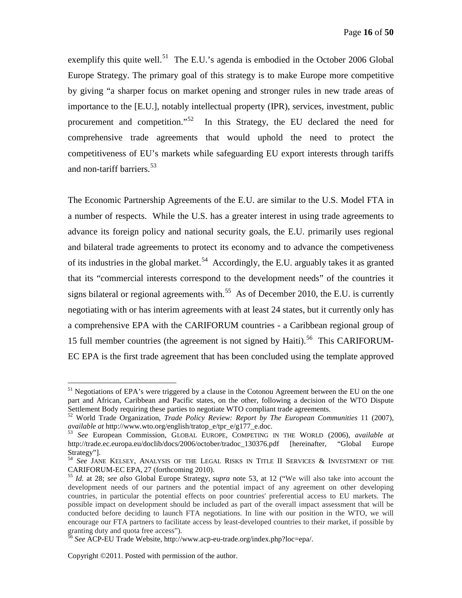exemplify this quite well.<sup>[51](#page-15-0)</sup> The E.U.'s agenda is embodied in the October 2006 Global Europe Strategy. The primary goal of this strategy is to make Europe more competitive by giving "a sharper focus on market opening and stronger rules in new trade areas of importance to the [E.U.], notably intellectual property (IPR), services, investment, public procurement and competition."<sup>52</sup> In this Strategy, the EU declared the need for comprehensive trade agreements that would uphold the need to protect the competitiveness of EU's markets while safeguarding EU export interests through tariffs and non-tariff barriers.<sup>[53](#page-15-2)</sup>

The Economic Partnership Agreements of the E.U. are similar to the U.S. Model FTA in a number of respects. While the U.S. has a greater interest in using trade agreements to advance its foreign policy and national security goals, the E.U. primarily uses regional and bilateral trade agreements to protect its economy and to advance the competiveness of its industries in the global market.<sup>[54](#page-15-3)</sup> Accordingly, the E.U. arguably takes it as granted that its "commercial interests correspond to the development needs" of the countries it signs bilateral or regional agreements with.<sup>[55](#page-15-4)</sup> As of December 2010, the E.U. is currently negotiating with or has interim agreements with at least 24 states, but it currently only has a comprehensive EPA with the CARIFORUM countries - a Caribbean regional group of 15 full member countries (the agreement is not signed by Haiti).<sup>[56](#page-15-5)</sup> This CARIFORUM-EC EPA is the first trade agreement that has been concluded using the template approved

<span id="page-15-0"></span><sup>&</sup>lt;sup>51</sup> Negotiations of EPA's were triggered by a clause in the Cotonou Agreement between the EU on the one part and African, Caribbean and Pacific states, on the other, following a decision of the WTO Dispute Settlement Body requiring these parties to negotiate WTO compliant trade agreements.

<sup>52</sup> World Trade Organization, *Trade Policy Review: Report by The European Communities* 11 (2007),

<span id="page-15-2"></span><span id="page-15-1"></span>*available at* http://www.wto.org/english/tratop\_e/tpr\_e/g177\_e.doc. <sup>53</sup> *See* European Commission, GLOBAL EUROPE, COMPETING IN THE WORLD (2006), *available at* http://trade.ec.europa.eu/doclib/docs/2006/october/tradoc\_130376.pdf [hereinafter, "Global Europe Strategy"].

<span id="page-15-3"></span><sup>&</sup>lt;sup>54</sup> See JANE KELSEY, ANALYSIS OF THE LEGAL RISKS IN TITLE II SERVICES & INVESTMENT OF THE CARIFORUM-EC EPA, 27 (forthcoming 2010).

<span id="page-15-4"></span><sup>&</sup>lt;sup>55</sup> *Id.* at 28; *see also* Global Europe Strategy, *supra* note 53, at 12 ("We will also take into account the development needs of our partners and the potential impact of any agreement on other developing countries, in particular the potential effects on poor countries' preferential access to EU markets. The possible impact on development should be included as part of the overall impact assessment that will be conducted before deciding to launch FTA negotiations. In line with our position in the WTO, we will encourage our FTA partners to facilitate access by least-developed countries to their market, if possible by granting duty and quota free access").

<span id="page-15-5"></span><sup>56</sup> *See* ACP-EU Trade Website, http://www.acp-eu-trade.org/index.php?loc=epa/.

Copyright ©2011. Posted with permission of the author.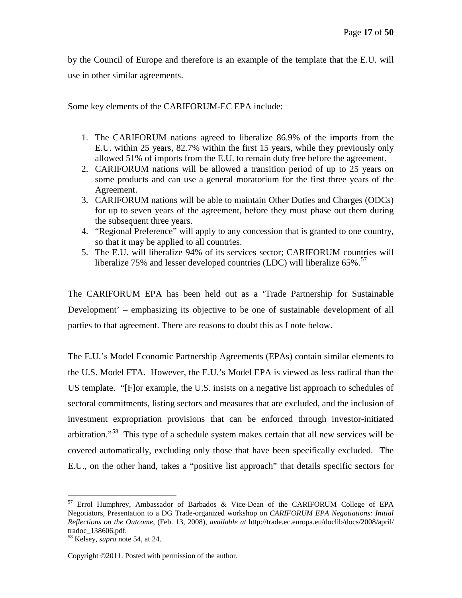by the Council of Europe and therefore is an example of the template that the E.U. will use in other similar agreements.

Some key elements of the CARIFORUM-EC EPA include:

- 1. The CARIFORUM nations agreed to liberalize 86.9% of the imports from the E.U. within 25 years, 82.7% within the first 15 years, while they previously only allowed 51% of imports from the E.U. to remain duty free before the agreement.
- 2. CARIFORUM nations will be allowed a transition period of up to 25 years on some products and can use a general moratorium for the first three years of the Agreement.
- 3. CARIFORUM nations will be able to maintain Other Duties and Charges (ODCs) for up to seven years of the agreement, before they must phase out them during the subsequent three years.
- 4. "Regional Preference" will apply to any concession that is granted to one country, so that it may be applied to all countries.
- 5. The E.U. will liberalize 94% of its services sector; CARIFORUM countries will liberalize  $75\%$  and lesser developed countries (LDC) will liberalize  $65\%$ .<sup>[57](#page-16-0)</sup>

The CARIFORUM EPA has been held out as a 'Trade Partnership for Sustainable Development' – emphasizing its objective to be one of sustainable development of all parties to that agreement. There are reasons to doubt this as I note below.

The E.U.'s Model Economic Partnership Agreements (EPAs) contain similar elements to the U.S. Model FTA. However, the E.U.'s Model EPA is viewed as less radical than the US template. "[F]or example, the U.S. insists on a negative list approach to schedules of sectoral commitments, listing sectors and measures that are excluded, and the inclusion of investment expropriation provisions that can be enforced through investor-initiated arbitration."<sup>[58](#page-16-1)</sup> This type of a schedule system makes certain that all new services will be covered automatically, excluding only those that have been specifically excluded. The E.U., on the other hand, takes a "positive list approach" that details specific sectors for

<span id="page-16-0"></span> <sup>57</sup> Errol Humphrey, Ambassador of Barbados & Vice-Dean of the CARIFORUM College of EPA Negotiators, Presentation to a DG Trade-organized workshop on *CARIFORUM EPA Negotiations: Initial Reflections on the Outcome*, (Feb. 13, 2008), *available at* http://trade.ec.europa.eu/doclib/docs/2008/april/ tradoc\_138606.pdf.

<span id="page-16-1"></span><sup>58</sup> Kelsey, *supra* note 54, at 24.

Copyright ©2011. Posted with permission of the author.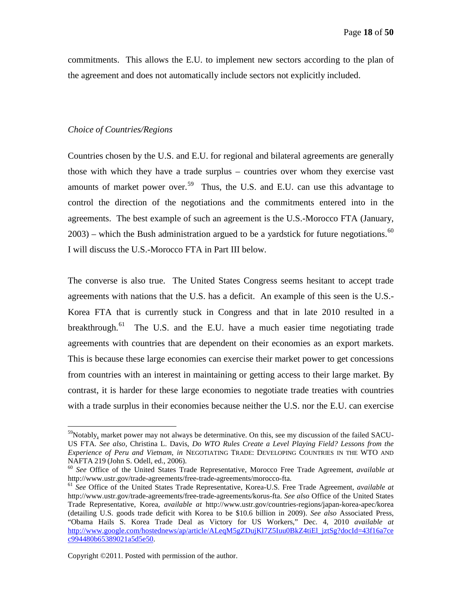commitments. This allows the E.U. to implement new sectors according to the plan of the agreement and does not automatically include sectors not explicitly included.

#### <span id="page-17-0"></span>*Choice of Countries/Regions*

Countries chosen by the U.S. and E.U. for regional and bilateral agreements are generally those with which they have a trade surplus – countries over whom they exercise vast amounts of market power over.<sup>[59](#page-17-1)</sup> Thus, the U.S. and E.U. can use this advantage to control the direction of the negotiations and the commitments entered into in the agreements. The best example of such an agreement is the U.S.-Morocco FTA (January,  $2003$ ) – which the Bush administration argued to be a yardstick for future negotiations.<sup>[60](#page-17-2)</sup> I will discuss the U.S.-Morocco FTA in Part III below.

The converse is also true. The United States Congress seems hesitant to accept trade agreements with nations that the U.S. has a deficit. An example of this seen is the U.S.- Korea FTA that is currently stuck in Congress and that in late 2010 resulted in a breakthrough.<sup>[61](#page-17-3)</sup> The U.S. and the E.U. have a much easier time negotiating trade agreements with countries that are dependent on their economies as an export markets. This is because these large economies can exercise their market power to get concessions from countries with an interest in maintaining or getting access to their large market. By contrast, it is harder for these large economies to negotiate trade treaties with countries with a trade surplus in their economies because neither the U.S. nor the E.U. can exercise

<span id="page-17-1"></span><sup>&</sup>lt;sup>59</sup>Notably, market power may not always be determinative. On this, see my discussion of the failed SACU-US FTA. *See also*, Christina L. Davis, *Do WTO Rules Create a Level Playing Field? Lessons from the Experience of Peru and Vietnam, in* NEGOTIATING TRADE: DEVELOPING COUNTRIES IN THE WTO AND NAFTA 219 (John S. Odell, ed., 2006).

<span id="page-17-2"></span><sup>&</sup>lt;sup>60</sup> *See* Office of the United States Trade Representative, Morocco Free Trade Agreement, *available at* http://www.ustr.gov/trade-agreements/free-trade-agreements/morocco-fta.

<span id="page-17-3"></span><sup>&</sup>lt;sup>61</sup> *See* Office of the United States Trade Representative, Korea-U.S. Free Trade Agreement, *available at* http://www.ustr.gov/trade-agreements/free-trade-agreements/korus-fta. *See also* Office of the United States Trade Representative, Korea, *available at* http://www.ustr.gov/countries-regions/japan-korea-apec/korea (detailing U.S. goods trade deficit with Korea to be \$10.6 billion in 2009). *See also* Associated Press, "Obama Hails S. Korea Trade Deal as Victory for US Workers," Dec. 4, 2010 *available at* http://www.google.com/hostednews/ap/article/ALeqM5gZDujKl7Z5Iuu0BkZ4tiEl\_iztSg?docId=43f16a7ce [c994480b65389021a5d5e50.](http://www.google.com/hostednews/ap/article/ALeqM5gZDujKl7Z5Iuu0BkZ4tiEl_jztSg?docId=43f16a7cec994480b65389021a5d5e50)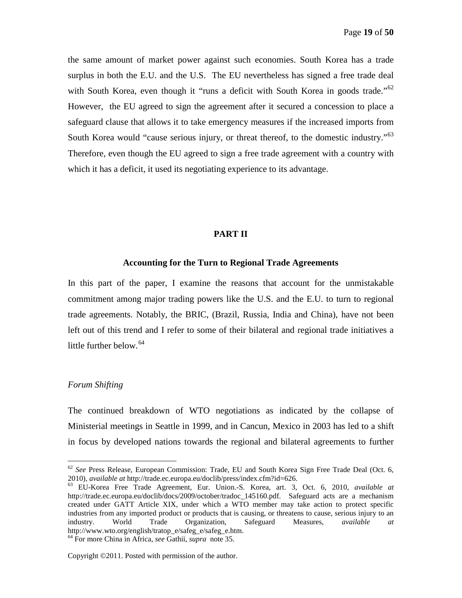the same amount of market power against such economies. South Korea has a trade surplus in both the E.U. and the U.S. The EU nevertheless has signed a free trade deal with South Korea, even though it "runs a deficit with South Korea in goods trade."<sup>[62](#page-18-3)</sup> However, the EU agreed to sign the agreement after it secured a concession to place a safeguard clause that allows it to take emergency measures if the increased imports from South Korea would "cause serious injury, or threat thereof, to the domestic industry."<sup>[63](#page-18-4)</sup> Therefore, even though the EU agreed to sign a free trade agreement with a country with which it has a deficit, it used its negotiating experience to its advantage.

#### **PART II**

#### **Accounting for the Turn to Regional Trade Agreements**

<span id="page-18-1"></span><span id="page-18-0"></span>In this part of the paper, I examine the reasons that account for the unmistakable commitment among major trading powers like the U.S. and the E.U. to turn to regional trade agreements. Notably, the BRIC, (Brazil, Russia, India and China), have not been left out of this trend and I refer to some of their bilateral and regional trade initiatives a little further below. [64](#page-18-5)

#### <span id="page-18-2"></span>*Forum Shifting*

The continued breakdown of WTO negotiations as indicated by the collapse of Ministerial meetings in Seattle in 1999, and in Cancun, Mexico in 2003 has led to a shift in focus by developed nations towards the regional and bilateral agreements to further

<span id="page-18-3"></span> $62$  *See* Press Release, European Commission: Trade, EU and South Korea Sign Free Trade Deal (Oct. 6, 2010), *available at* http://trade.ec.europa.eu/doclib/press/index.cfm?id=626.

<span id="page-18-4"></span><sup>&</sup>lt;sup>63</sup> EU-Korea Free Trade Agreement, Eur. Union.-S. Korea, art. 3, Oct. 6, 2010, *available at* http://trade.ec.europa.eu/doclib/docs/2009/october/tradoc\_145160.pdf. Safeguard acts are a mechanism created under GATT Article XIX, under which a WTO member may take action to protect specific industries from any imported product or products that is causing, or threatens to cause, serious injury to an industry. World Trade Organization, Safeguard Measures, *available at* http://www.wto.org/english/tratop\_e/safeg\_e/safeg\_e.htm.

<span id="page-18-5"></span><sup>64</sup> For more China in Africa, *see* Gathii, *supra* note 35.

Copyright ©2011. Posted with permission of the author.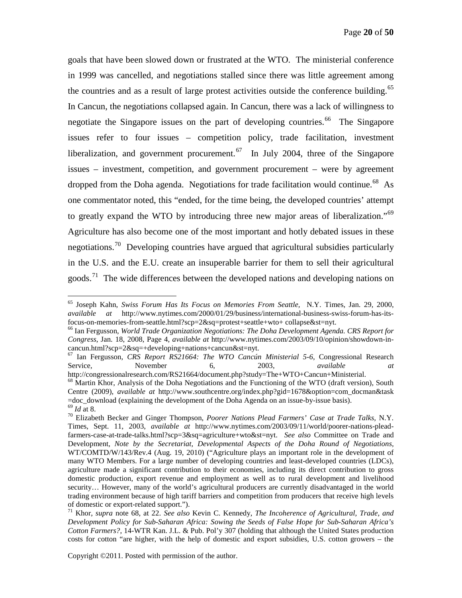goals that have been slowed down or frustrated at the WTO. The ministerial conference in 1999 was cancelled, and negotiations stalled since there was little agreement among the countries and as a result of large protest activities outside the conference building.<sup>[65](#page-19-0)</sup> In Cancun, the negotiations collapsed again. In Cancun, there was a lack of willingness to negotiate the Singapore issues on the part of developing countries.<sup>[66](#page-19-1)</sup> The Singapore issues refer to four issues – competition policy, trade facilitation, investment liberalization, and government procurement.<sup>[67](#page-19-2)</sup> In July 2004, three of the Singapore issues – investment, competition, and government procurement – were by agreement dropped from the Doha agenda. Negotiations for trade facilitation would continue.<sup>[68](#page-19-3)</sup> As one commentator noted, this "ended, for the time being, the developed countries' attempt to greatly expand the WTO by introducing three new major areas of liberalization."<sup>[69](#page-19-4)</sup> Agriculture has also become one of the most important and hotly debated issues in these negotiations.<sup>[70](#page-19-5)</sup> Developing countries have argued that agricultural subsidies particularly in the U.S. and the E.U. create an insuperable barrier for them to sell their agricultural goods.<sup>[71](#page-19-6)</sup> The wide differences between the developed nations and developing nations on

<span id="page-19-0"></span> <sup>65</sup> Joseph Kahn, *Swiss Forum Has Its Focus on Memories From Seattle,* N.Y. Times, Jan. 29, 2000, *available at* http://www.nytimes.com/2000/01/29/business/international-business-swiss-forum-has-itsfocus-on-memories-from-seattle.html?scp=2&sq=protest+seattle+wto+ collapse&st=nyt.

<span id="page-19-1"></span><sup>66</sup> Ian Fergusson, *World Trade Organization Negotiations: The Doha Development Agenda. CRS Report for Congress*, Jan. 18, 2008, Page 4, *available at* http://www.nytimes.com/2003/09/10/opinion/showdown-incancun.html?scp=2&sq=+developing+nations+cancun&st=nyt.

<span id="page-19-2"></span><sup>67</sup> Ian Fergusson, *CRS Report RS21664: The WTO Cancún Ministerial 5-6*, Congressional Research Service, **November** 6, 2003, *available at* 

<span id="page-19-3"></span>http://congressionalresearch.com/RS21664/document.php?study=The+WTO+Cancun+Ministerial.<br><sup>68</sup> Martin Khor, Analysis of the Doha Negotiations and the Functioning of the WTO (draft version), South Centre (2009), *available at* http://www.southcentre.org/index.php?gid=1678&option=com\_docman&task<br>=doc\_download (explaining the development of the Doha Agenda on an issue-by-issue basis).

<span id="page-19-5"></span><span id="page-19-4"></span><sup>&</sup>lt;sup>69</sup> *Id* at 8.<br><sup>70</sup> Elizabeth Becker and Ginger Thompson, *Poorer Nations Plead Farmers' Case at Trade Talks*, N.Y. Times, Sept. 11, 2003, *available at* http://www.nytimes.com/2003/09/11/world/poorer-nations-pleadfarmers-case-at-trade-talks.html?scp=3&sq=agriculture+wto&st=nyt. *See also* Committee on Trade and Development, *Note by the Secretariat, Developmental Aspects of the Doha Round of Negotiations,*  WT/COMTD/W/143/Rev.4 (Aug. 19, 2010) ("Agriculture plays an important role in the development of many WTO Members. For a large number of developing countries and least-developed countries (LDCs), agriculture made a significant contribution to their economies, including its direct contribution to gross domestic production, export revenue and employment as well as to rural development and livelihood security… However, many of the world's agricultural producers are currently disadvantaged in the world trading environment because of high tariff barriers and competition from producers that receive high levels of domestic or export-related support."). <sup>71</sup> Khor, *supra* note 68, at 22. *See also* Kevin C. Kennedy, *The Incoherence of Agricultural, Trade, and* 

<span id="page-19-6"></span>*Development Policy for Sub-Saharan Africa: Sowing the Seeds of False Hope for Sub-Saharan Africa's Cotton Farmers?*, 14-WTR Kan. J.L. & Pub. Pol'y 307 (holding that although the United States production costs for cotton "are higher, with the help of domestic and export subsidies, U.S. cotton growers – the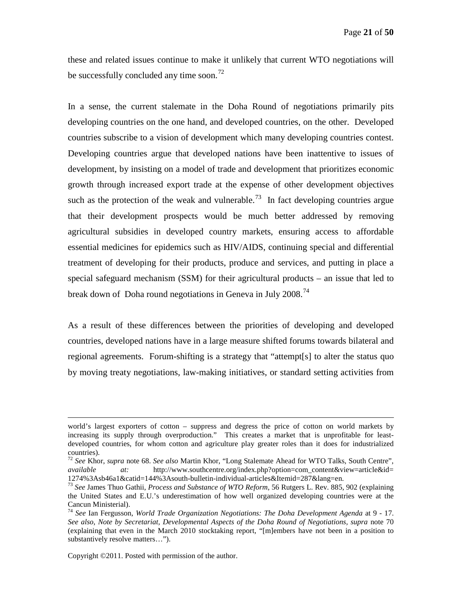these and related issues continue to make it unlikely that current WTO negotiations will be successfully concluded any time soon.<sup>[72](#page-20-0)</sup>

In a sense, the current stalemate in the Doha Round of negotiations primarily pits developing countries on the one hand, and developed countries, on the other. Developed countries subscribe to a vision of development which many developing countries contest. Developing countries argue that developed nations have been inattentive to issues of development, by insisting on a model of trade and development that prioritizes economic growth through increased export trade at the expense of other development objectives such as the protection of the weak and vulnerable.<sup>73</sup> In fact developing countries argue that their development prospects would be much better addressed by removing agricultural subsidies in developed country markets, ensuring access to affordable essential medicines for epidemics such as HIV/AIDS, continuing special and differential treatment of developing for their products, produce and services, and putting in place a special safeguard mechanism (SSM) for their agricultural products – an issue that led to break down of Doha round negotiations in Geneva in July 2008.<sup>[74](#page-20-2)</sup>

As a result of these differences between the priorities of developing and developed countries, developed nations have in a large measure shifted forums towards bilateral and regional agreements. Forum-shifting is a strategy that "attempt[s] to alter the status quo by moving treaty negotiations, law-making initiatives, or standard setting activities from

Copyright ©2011. Posted with permission of the author.

 $\overline{a}$ 

world's largest exporters of cotton – suppress and degress the price of cotton on world markets by increasing its supply through overproduction." This creates a market that is unprofitable for leastdeveloped countries, for whom cotton and agriculture play greater roles than it does for industrialized countries).

<span id="page-20-0"></span><sup>72</sup> *See* Khor, *supra* note 68. *See also* Martin Khor, "Long Stalemate Ahead for WTO Talks, South Centre", *available at:* http://www.southcentre.org/index.php?option=com\_content&view=article&id=<br>1274%3Asb46a1&catid=144%3Asouth-bulletin-individual-articles&Itemid=287&lang=en.

<span id="page-20-1"></span><sup>&</sup>lt;sup>73</sup> See James Thuo Gathii, *Process and Substance of WTO Reform*, 56 Rutgers L. Rev. 885, 902 (explaining the United States and E.U.'s underestimation of how well organized developing countries were at the Cancun Ministerial).

<span id="page-20-2"></span><sup>74</sup> *See* Ian Fergusson, *World Trade Organization Negotiations: The Doha Development Agenda* at 9 - 17. *See also*, *Note by Secretariat, Developmental Aspects of the Doha Round of Negotiations, supra* note 70 (explaining that even in the March 2010 stocktaking report, "[m]embers have not been in a position to substantively resolve matters…").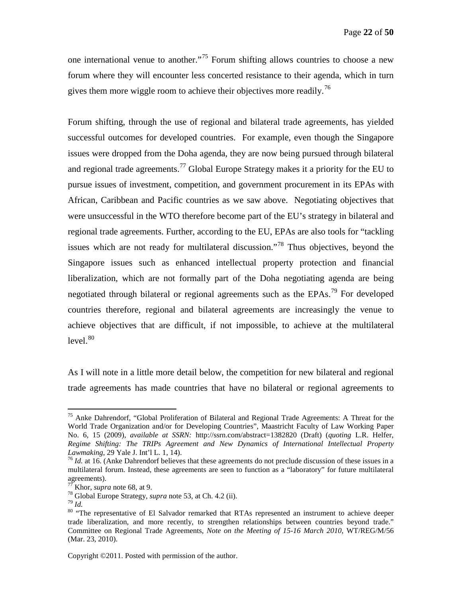one international venue to another."[75](#page-21-0) Forum shifting allows countries to choose a new forum where they will encounter less concerted resistance to their agenda, which in turn gives them more wiggle room to achieve their objectives more readily.<sup>[76](#page-21-1)</sup>

Forum shifting, through the use of regional and bilateral trade agreements, has yielded successful outcomes for developed countries. For example, even though the Singapore issues were dropped from the Doha agenda, they are now being pursued through bilateral and regional trade agreements.<sup>[77](#page-21-2)</sup> Global Europe Strategy makes it a priority for the EU to pursue issues of investment, competition, and government procurement in its EPAs with African, Caribbean and Pacific countries as we saw above. Negotiating objectives that were unsuccessful in the WTO therefore become part of the EU's strategy in bilateral and regional trade agreements. Further, according to the EU, EPAs are also tools for "tackling issues which are not ready for multilateral discussion."[78](#page-21-3) Thus objectives, beyond the Singapore issues such as enhanced intellectual property protection and financial liberalization, which are not formally part of the Doha negotiating agenda are being negotiated through bilateral or regional agreements such as the  $EPAs$ <sup>[79](#page-21-4)</sup> For developed countries therefore, regional and bilateral agreements are increasingly the venue to achieve objectives that are difficult, if not impossible, to achieve at the multilateral  $level.<sup>80</sup>$  $level.<sup>80</sup>$  $level.<sup>80</sup>$ 

As I will note in a little more detail below, the competition for new bilateral and regional trade agreements has made countries that have no bilateral or regional agreements to

<span id="page-21-0"></span><sup>&</sup>lt;sup>75</sup> Anke Dahrendorf, "Global Proliferation of Bilateral and Regional Trade Agreements: A Threat for the World Trade Organization and/or for Developing Countries", Maastricht Faculty of Law Working Paper No. 6, 15 (2009), *available at SSRN:* http://ssrn.com/abstract=1382820 (Draft) (*quoting* L.R. Helfer, *Regime Shifting: The TRIPs Agreement and New Dynamics of International Intellectual Property Lawmaking, 29 Yale J. Int'l L. 1, 14).* 

<span id="page-21-1"></span><sup>&</sup>lt;sup>76</sup> *Id.* at 16. (Anke Dahrendorf believes that these agreements do not preclude discussion of these issues in a multilateral forum. Instead, these agreements are seen to function as a "laboratory" for future multilateral agreements).<br> $^{77}$  Khor, *supra* note 68, at 9.

<span id="page-21-5"></span><span id="page-21-4"></span>

<span id="page-21-3"></span><span id="page-21-2"></span><sup>&</sup>lt;sup>78</sup> Global Europe Strategy, *supra* note 53, at Ch. 4.2 (ii).  $\frac{79}{10}$  *Id.* 80 "The representative of El Salvador remarked that RTAs represented an instrument to achieve deeper 80 trade liberalization, and more recently, to strengthen relationships between countries beyond trade." Committee on Regional Trade Agreements, *Note on the Meeting of 15-16 March 2010*, WT/REG/M/56 (Mar. 23, 2010).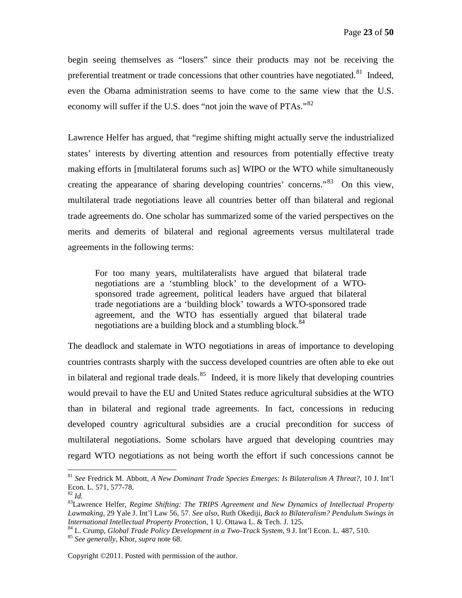begin seeing themselves as "losers" since their products may not be receiving the preferential treatment or trade concessions that other countries have negotiated.<sup>[81](#page-22-0)</sup> Indeed, even the Obama administration seems to have come to the same view that the U.S. economy will suffer if the U.S. does "not join the wave of PTAs." $82$ 

Lawrence Helfer has argued, that "regime shifting might actually serve the industrialized states' interests by diverting attention and resources from potentially effective treaty making efforts in [multilateral forums such as] WIPO or the WTO while simultaneously creating the appearance of sharing developing countries' concerns.<sup>[83](#page-22-2)</sup> On this view, multilateral trade negotiations leave all countries better off than bilateral and regional trade agreements do. One scholar has summarized some of the varied perspectives on the merits and demerits of bilateral and regional agreements versus multilateral trade agreements in the following terms:

For too many years, multilateralists have argued that bilateral trade negotiations are a 'stumbling block' to the development of a WTOsponsored trade agreement, political leaders have argued that bilateral trade negotiations are a 'building block' towards a WTO-sponsored trade agreement, and the WTO has essentially argued that bilateral trade negotiations are a building block and a stumbling block.<sup>[84](#page-22-3)</sup>

The deadlock and stalemate in WTO negotiations in areas of importance to developing countries contrasts sharply with the success developed countries are often able to eke out in bilateral and regional trade deals.<sup>[85](#page-22-4)</sup> Indeed, it is more likely that developing countries would prevail to have the EU and United States reduce agricultural subsidies at the WTO than in bilateral and regional trade agreements. In fact, concessions in reducing developed country agricultural subsidies are a crucial precondition for success of multilateral negotiations. Some scholars have argued that developing countries may regard WTO negotiations as not being worth the effort if such concessions cannot be

<span id="page-22-0"></span> <sup>81</sup> *See* Fredrick M. Abbott, *A New Dominant Trade Species Emerges: Is Bilateralism A Threat?*, 10 J. Int'l Econ. L. 571, 577-78.<br><sup>82</sup> Id.

<span id="page-22-1"></span>

<span id="page-22-2"></span><sup>&</sup>lt;sup>83</sup> Lawrence Helfer, *Regime Shifting: The TRIPS Agreement and New Dynamics of Intellectual Property Lawmaking*, 29 Yale J. Int'l Law 56, 57. *See also*, Ruth Okediji, *Back to Bilateralism? Pendulum Swings in International Intellectual Property Protection, 1 U. Ottawa L. & Tech. J. 125.*<br><sup>84</sup> L. Crump, *Global Trade Policy Development in a Two-Track System, 9 J. Int'l Econ. L. 487, 510.*<br><sup>85</sup> *See generally, Khor, supra note 6* 

<span id="page-22-4"></span><span id="page-22-3"></span>

Copyright ©2011. Posted with permission of the author.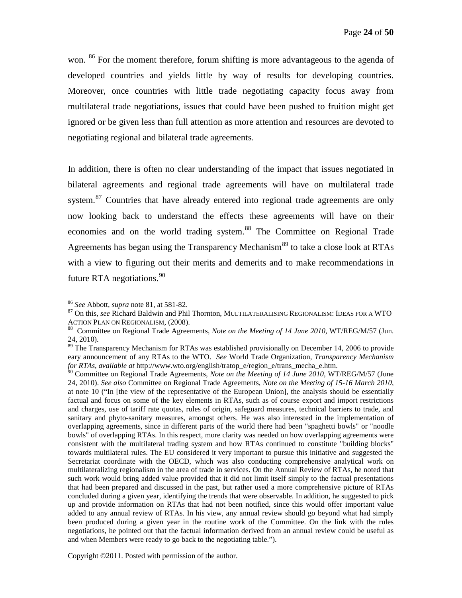won. <sup>[86](#page-23-0)</sup> For the moment therefore, forum shifting is more advantageous to the agenda of developed countries and yields little by way of results for developing countries. Moreover, once countries with little trade negotiating capacity focus away from multilateral trade negotiations, issues that could have been pushed to fruition might get ignored or be given less than full attention as more attention and resources are devoted to negotiating regional and bilateral trade agreements.

In addition, there is often no clear understanding of the impact that issues negotiated in bilateral agreements and regional trade agreements will have on multilateral trade system.<sup>[87](#page-23-1)</sup> Countries that have already entered into regional trade agreements are only now looking back to understand the effects these agreements will have on their economies and on the world trading system.<sup>[88](#page-23-2)</sup> The Committee on Regional Trade Agreements has began using the Transparency Mechanism<sup>[89](#page-23-3)</sup> to take a close look at RTAs with a view to figuring out their merits and demerits and to make recommendations in future RTA negotiations.<sup>[90](#page-23-4)</sup>

<span id="page-23-0"></span> <sup>86</sup> *See* Abbott, *supra* note 81, at 581-82.

<span id="page-23-1"></span><sup>&</sup>lt;sup>87</sup> On this, *see* Richard Baldwin and Phil Thornton, MULTILATERALISING REGIONALISM: IDEAS FOR A WTO ACTION PLAN ON REGIONALISM, (2008).

<span id="page-23-2"></span><sup>&</sup>lt;sup>88</sup> Committee on Regional Trade Agreements, *Note on the Meeting of 14 June 2010*, WT/REG/M/57 (Jun. 24, 2010).

<span id="page-23-3"></span> $89$  The Transparency Mechanism for RTAs was established provisionally on December 14, 2006 to provide eary announcement of any RTAs to the WTO. *See* World Trade Organization, *Transparency Mechanism for RTAs*, *available at* http://www.wto.org/english/tratop\_e/region\_e/trans\_mecha\_e.htm.

<span id="page-23-4"></span><sup>90</sup> Committee on Regional Trade Agreements, *Note on the Meeting of 14 June 2010,* WT/REG/M/57 (June 24, 2010). *See also* Committee on Regional Trade Agreements, *Note on the Meeting of 15-16 March 2010*, at note 10 ("In [the view of the representative of the European Union], the analysis should be essentially factual and focus on some of the key elements in RTAs, such as of course export and import restrictions and charges, use of tariff rate quotas, rules of origin, safeguard measures, technical barriers to trade, and sanitary and phyto-sanitary measures, amongst others. He was also interested in the implementation of overlapping agreements, since in different parts of the world there had been "spaghetti bowls" or "noodle bowls" of overlapping RTAs. In this respect, more clarity was needed on how overlapping agreements were consistent with the multilateral trading system and how RTAs continued to constitute "building blocks" towards multilateral rules. The EU considered it very important to pursue this initiative and suggested the Secretariat coordinate with the OECD, which was also conducting comprehensive analytical work on multilateralizing regionalism in the area of trade in services. On the Annual Review of RTAs, he noted that such work would bring added value provided that it did not limit itself simply to the factual presentations that had been prepared and discussed in the past, but rather used a more comprehensive picture of RTAs concluded during a given year, identifying the trends that were observable. In addition, he suggested to pick up and provide information on RTAs that had not been notified, since this would offer important value added to any annual review of RTAs. In his view, any annual review should go beyond what had simply been produced during a given year in the routine work of the Committee. On the link with the rules negotiations, he pointed out that the factual information derived from an annual review could be useful as and when Members were ready to go back to the negotiating table.").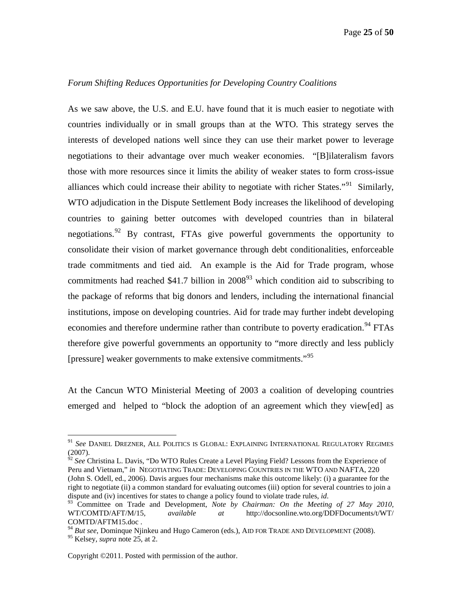#### <span id="page-24-0"></span>*Forum Shifting Reduces Opportunities for Developing Country Coalitions*

As we saw above, the U.S. and E.U. have found that it is much easier to negotiate with countries individually or in small groups than at the WTO. This strategy serves the interests of developed nations well since they can use their market power to leverage negotiations to their advantage over much weaker economies. "[B]ilateralism favors those with more resources since it limits the ability of weaker states to form cross-issue alliances which could increase their ability to negotiate with richer States."<sup>[91](#page-24-1)</sup> Similarly, WTO adjudication in the Dispute Settlement Body increases the likelihood of developing countries to gaining better outcomes with developed countries than in bilateral negotiations.<sup>[92](#page-24-2)</sup> By contrast, FTAs give powerful governments the opportunity to consolidate their vision of market governance through debt conditionalities, enforceable trade commitments and tied aid. An example is the Aid for Trade program, whose commitments had reached \$41.7 billion in  $2008<sup>93</sup>$  $2008<sup>93</sup>$  $2008<sup>93</sup>$  which condition aid to subscribing to the package of reforms that big donors and lenders, including the international financial institutions, impose on developing countries. Aid for trade may further indebt developing economies and therefore undermine rather than contribute to poverty eradication.<sup>[94](#page-24-4)</sup> FTAs therefore give powerful governments an opportunity to "more directly and less publicly [pressure] weaker governments to make extensive commitments."[95](#page-24-5)

At the Cancun WTO Ministerial Meeting of 2003 a coalition of developing countries emerged and helped to "block the adoption of an agreement which they view[ed] as

<span id="page-24-2"></span>Peru and Vietnam," *in* NEGOTIATING TRADE: DEVELOPING COUNTRIES IN THE WTO AND NAFTA, 220 (John S. Odell, ed., 2006). Davis argues four mechanisms make this outcome likely: (i) a guarantee for the right to negotiate (ii) a common standard for evaluating outcomes (iii) option for several countries to join a

<span id="page-24-1"></span> <sup>91</sup> *See* DANIEL DREZNER, ALL POLITICS IS GLOBAL: EXPLAINING INTERNATIONAL REGULATORY REGIMES (2007). <sup>92</sup> *See* Christina L. Davis, "Do WTO Rules Create a Level Playing Field? Lessons from the Experience of

<span id="page-24-3"></span>dispute and (iv) incentives for states to change a policy found to violate trade rules, *id*.<br><sup>93</sup> Committee on Trade and Development, *Note by Chairman: On the Meeting of 27 May 2010*, WT/COMTD/AFT/M/15*, available at* http://docsonline.wto.org/DDFDocuments/t/WT/

<span id="page-24-4"></span><sup>&</sup>lt;sup>94</sup> *But see*, Dominque Njinkeu and Hugo Cameron (eds.), AID FOR TRADE AND DEVELOPMENT (2008).

<span id="page-24-5"></span><sup>95</sup> Kelsey, *supra* note 25, at 2.

Copyright ©2011. Posted with permission of the author.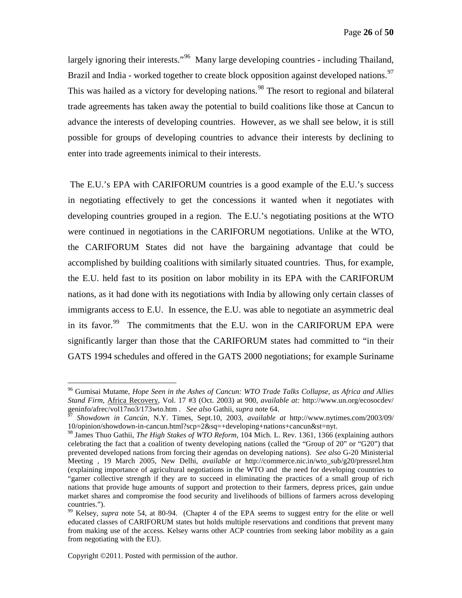largely ignoring their interests."<sup>[96](#page-25-0)</sup> Many large developing countries - including Thailand, Brazil and India - worked together to create block opposition against developed nations.<sup>[97](#page-25-1)</sup> This was hailed as a victory for developing nations.<sup>[98](#page-25-2)</sup> The resort to regional and bilateral trade agreements has taken away the potential to build coalitions like those at Cancun to advance the interests of developing countries. However, as we shall see below, it is still possible for groups of developing countries to advance their interests by declining to enter into trade agreements inimical to their interests.

The E.U.'s EPA with CARIFORUM countries is a good example of the E.U.'s success in negotiating effectively to get the concessions it wanted when it negotiates with developing countries grouped in a region. The E.U.'s negotiating positions at the WTO were continued in negotiations in the CARIFORUM negotiations. Unlike at the WTO, the CARIFORUM States did not have the bargaining advantage that could be accomplished by building coalitions with similarly situated countries. Thus, for example, the E.U. held fast to its position on labor mobility in its EPA with the CARIFORUM nations, as it had done with its negotiations with India by allowing only certain classes of immigrants access to E.U. In essence, the E.U. was able to negotiate an asymmetric deal in its favor.<sup>[99](#page-25-3)</sup> The commitments that the E.U. won in the CARIFORUM EPA were significantly larger than those that the CARIFORUM states had committed to "in their GATS 1994 schedules and offered in the GATS 2000 negotiations; for example Suriname

<span id="page-25-0"></span> <sup>96</sup> Gumisai Mutame, *Hope Seen in the Ashes of Cancun: WTO Trade Talks Collapse, as Africa and Allies Stand Firm*, Africa Recovery, Vol. 17 #3 (Oct. 2003) at 900, *available at:* http://www.un.org/ecosocdev/ geninfo/afrec/vol17no3/173wto.htm . *See also* Gathii, *supra* note 64.

<span id="page-25-1"></span><sup>97</sup> *Showdown in Cancún,* N.Y. Times, Sept.10, 2003, *available at* http://www.nytimes.com/2003/09/ 10/opinion/showdown-in-cancun.html?scp=2&sq=+developing+nations+cancun&st=nyt.

<span id="page-25-2"></span><sup>98</sup> James Thuo Gathii, *The High Stakes of WTO Reform*, 104 Mich. L. Rev. 1361, 1366 (explaining authors celebrating the fact that a coalition of twenty developing nations (called the "Group of 20" or "G20") that prevented developed nations from forcing their agendas on developing nations). *See also* G-20 Ministerial Meeting , 19 March 2005, New Delhi, *available at* http://commerce.nic.in/wto\_sub/g20/pressrel.htm (explaining importance of agricultural negotiations in the WTO and the need for developing countries to "garner collective strength if they are to succeed in eliminating the practices of a small group of rich nations that provide huge amounts of support and protection to their farmers, depress prices, gain undue market shares and compromise the food security and livelihoods of billions of farmers across developing countries.").

<span id="page-25-3"></span><sup>99</sup> Kelsey, *supra* note 54, at 80-94. (Chapter 4 of the EPA seems to suggest entry for the elite or well educated classes of CARIFORUM states but holds multiple reservations and conditions that prevent many from making use of the access. Kelsey warns other ACP countries from seeking labor mobility as a gain from negotiating with the EU).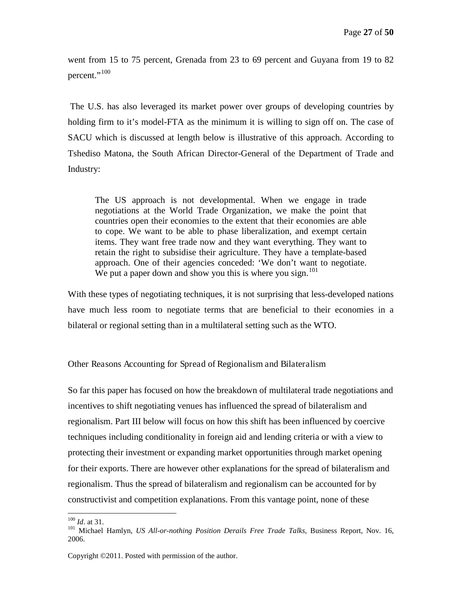went from 15 to 75 percent, Grenada from 23 to 69 percent and Guyana from 19 to 82 percent."<sup>[100](#page-26-1)</sup>

The U.S. has also leveraged its market power over groups of developing countries by holding firm to it's model-FTA as the minimum it is willing to sign off on. The case of SACU which is discussed at length below is illustrative of this approach. According to Tshediso Matona, the South African Director-General of the Department of Trade and Industry:

The US approach is not developmental. When we engage in trade negotiations at the World Trade Organization, we make the point that countries open their economies to the extent that their economies are able to cope. We want to be able to phase liberalization, and exempt certain items. They want free trade now and they want everything. They want to retain the right to subsidise their agriculture. They have a template-based approach. One of their agencies conceded: 'We don't want to negotiate. We put a paper down and show you this is where you sign.<sup>[101](#page-26-2)</sup>

With these types of negotiating techniques, it is not surprising that less-developed nations have much less room to negotiate terms that are beneficial to their economies in a bilateral or regional setting than in a multilateral setting such as the WTO.

#### <span id="page-26-0"></span>Other Reasons Accounting for Spread of Regionalism and Bilateralism

So far this paper has focused on how the breakdown of multilateral trade negotiations and incentives to shift negotiating venues has influenced the spread of bilateralism and regionalism. Part III below will focus on how this shift has been influenced by coercive techniques including conditionality in foreign aid and lending criteria or with a view to protecting their investment or expanding market opportunities through market opening for their exports. There are however other explanations for the spread of bilateralism and regionalism. Thus the spread of bilateralism and regionalism can be accounted for by constructivist and competition explanations. From this vantage point, none of these

<span id="page-26-2"></span><span id="page-26-1"></span><sup>&</sup>lt;sup>100</sup> *Id.* at 31.<br><sup>101</sup> Michael Hamlyn, *US All-or-nothing Position Derails Free Trade Talks, Business Report, Nov. 16,* 2006.

Copyright ©2011. Posted with permission of the author.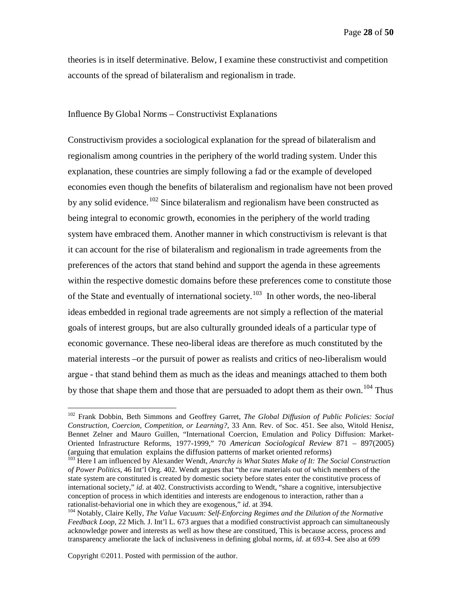theories is in itself determinative. Below, I examine these constructivist and competition accounts of the spread of bilateralism and regionalism in trade.

#### <span id="page-27-0"></span>Influence By Global Norms – Constructivist Explanations

Constructivism provides a sociological explanation for the spread of bilateralism and regionalism among countries in the periphery of the world trading system. Under this explanation, these countries are simply following a fad or the example of developed economies even though the benefits of bilateralism and regionalism have not been proved by any solid evidence.<sup>[102](#page-27-1)</sup> Since bilateralism and regionalism have been constructed as being integral to economic growth, economies in the periphery of the world trading system have embraced them. Another manner in which constructivism is relevant is that it can account for the rise of bilateralism and regionalism in trade agreements from the preferences of the actors that stand behind and support the agenda in these agreements within the respective domestic domains before these preferences come to constitute those of the State and eventually of international society.<sup>[103](#page-27-2)</sup> In other words, the neo-liberal ideas embedded in regional trade agreements are not simply a reflection of the material goals of interest groups, but are also culturally grounded ideals of a particular type of economic governance. These neo-liberal ideas are therefore as much constituted by the material interests –or the pursuit of power as realists and critics of neo-liberalism would argue - that stand behind them as much as the ideas and meanings attached to them both by those that shape them and those that are persuaded to adopt them as their own.<sup>[104](#page-27-3)</sup> Thus

<span id="page-27-1"></span> <sup>102</sup> Frank Dobbin, Beth Simmons and Geoffrey Garret, *The Global Diffusion of Public Policies: Social Construction, Coercion, Competition, or Learning?*, 33 Ann. Rev. of Soc. 451. See also, Witold Henisz, Bennet Zelner and Mauro Guillen, "International Coercion, Emulation and Policy Diffusion: Market-Oriented Infrastructure Reforms, 1977-1999," 70 *American Sociological Review* 871 – 897(2005) (arguing that emulation explains the diffusion patterns of market oriented reforms)

<span id="page-27-2"></span><sup>103</sup> Here I am influenced by Alexander Wendt, *Anarchy is What States Make of It: The Social Construction of Power Politics*, 46 Int'l Org. 402. Wendt argues that "the raw materials out of which members of the state system are constituted is created by domestic society before states enter the constitutive process of international society," *id*. at 402. Constructivists according to Wendt, "share a cognitive, intersubjective conception of process in which identities and interests are endogenous to interaction, rather than a rationalist-behaviorial one in which they are exogenous," *id.* at 394.<br><sup>104</sup> Notably, Claire Kelly, *The Value Vacuum: Self-Enforcing Regimes and the Dilution of the Normative* 

<span id="page-27-3"></span>*Feedback Loop*, 22 Mich. J. Int'l L. 673 argues that a modified constructivist approach can simultaneously acknowledge power and interests as well as how these are constitued, This is because access, process and transparency ameliorate the lack of inclusiveness in defining global norms, *id*. at 693-4. See also at 699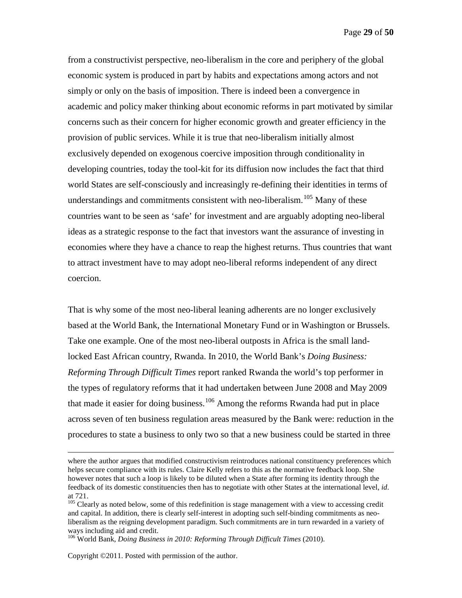from a constructivist perspective, neo-liberalism in the core and periphery of the global economic system is produced in part by habits and expectations among actors and not simply or only on the basis of imposition. There is indeed been a convergence in academic and policy maker thinking about economic reforms in part motivated by similar concerns such as their concern for higher economic growth and greater efficiency in the provision of public services. While it is true that neo-liberalism initially almost exclusively depended on exogenous coercive imposition through conditionality in developing countries, today the tool-kit for its diffusion now includes the fact that third world States are self-consciously and increasingly re-defining their identities in terms of understandings and commitments consistent with neo-liberalism.<sup>[105](#page-28-0)</sup> Many of these countries want to be seen as 'safe' for investment and are arguably adopting neo-liberal ideas as a strategic response to the fact that investors want the assurance of investing in economies where they have a chance to reap the highest returns. Thus countries that want to attract investment have to may adopt neo-liberal reforms independent of any direct coercion.

That is why some of the most neo-liberal leaning adherents are no longer exclusively based at the World Bank, the International Monetary Fund or in Washington or Brussels. Take one example. One of the most neo-liberal outposts in Africa is the small landlocked East African country, Rwanda. In 2010, the World Bank's *Doing Business: Reforming Through Difficult Times* report ranked Rwanda the world's top performer in the types of regulatory reforms that it had undertaken between June 2008 and May 2009 that made it easier for doing business.<sup>[106](#page-28-1)</sup> Among the reforms Rwanda had put in place across seven of ten business regulation areas measured by the Bank were: reduction in the procedures to state a business to only two so that a new business could be started in three

Copyright ©2011. Posted with permission of the author.

 $\overline{a}$ 

where the author argues that modified constructivism reintroduces national constituency preferences which helps secure compliance with its rules. Claire Kelly refers to this as the normative feedback loop. She however notes that such a loop is likely to be diluted when a State after forming its identity through the feedback of its domestic constituencies then has to negotiate with other States at the international level, *id*. at 721.

<span id="page-28-0"></span><sup>&</sup>lt;sup>105</sup> Clearly as noted below, some of this redefinition is stage management with a view to accessing credit and capital. In addition, there is clearly self-interest in adopting such self-binding commitments as neoliberalism as the reigning development paradigm. Such commitments are in turn rewarded in a variety of ways including aid and credit.

<span id="page-28-1"></span><sup>106</sup> World Bank, *Doing Business in 2010: Reforming Through Difficult Times* (2010).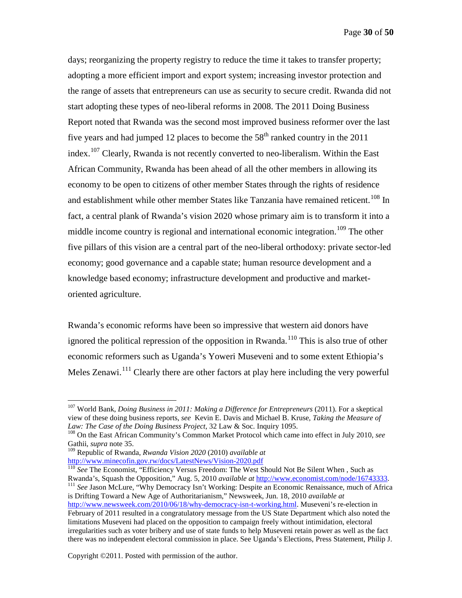days; reorganizing the property registry to reduce the time it takes to transfer property; adopting a more efficient import and export system; increasing investor protection and the range of assets that entrepreneurs can use as security to secure credit. Rwanda did not start adopting these types of neo-liberal reforms in 2008. The 2011 Doing Business Report noted that Rwanda was the second most improved business reformer over the last five years and had jumped 12 places to become the  $58<sup>th</sup>$  ranked country in the 2011 index.<sup>[107](#page-29-0)</sup> Clearly, Rwanda is not recently converted to neo-liberalism. Within the East African Community, Rwanda has been ahead of all the other members in allowing its economy to be open to citizens of other member States through the rights of residence and establishment while other member States like Tanzania have remained reticent.<sup>[108](#page-29-1)</sup> In fact, a central plank of Rwanda's vision 2020 whose primary aim is to transform it into a middle income country is regional and international economic integration.<sup>[109](#page-29-2)</sup> The other five pillars of this vision are a central part of the neo-liberal orthodoxy: private sector-led economy; good governance and a capable state; human resource development and a knowledge based economy; infrastructure development and productive and marketoriented agriculture.

Rwanda's economic reforms have been so impressive that western aid donors have ignored the political repression of the opposition in Rwanda.<sup>[110](#page-29-3)</sup> This is also true of other economic reformers such as Uganda's Yoweri Museveni and to some extent Ethiopia's Meles Zenawi.<sup>[111](#page-29-4)</sup> Clearly there are other factors at play here including the very powerful

<span id="page-29-4"></span><span id="page-29-3"></span><span id="page-29-2"></span><http://www.minecofin.gov.rw/docs/LatestNews/Vision-2020.pdf><br><sup>110</sup> *See* The Economist, "Efficiency Versus Freedom: The West Should Not Be Silent When , Such as<br>Rwanda's, Squash the Opposition," Aug. 5, 2010 *available at h* <sup>111</sup> See Jason McLure, "Why Democracy Isn't Working: Despite an Economic Renaissance, much of Africa is Drifting Toward a New Age of Authoritarianism," Newsweek, Jun. 18, 2010 *available at* [http://www.newsweek.com/2010/06/18/why-democracy-isn-t-working.html.](http://www.newsweek.com/2010/06/18/why-democracy-isn-t-working.html) Museveni's re-election in February of 2011 resulted in a congratulatory message from the US State Department which also noted the limitations Museveni had placed on the opposition to campaign freely without intimidation, electoral irregularities such as voter bribery and use of state funds to help Museveni retain power as well as the fact there was no independent electoral commission in place. See Uganda's Elections, Press Statement, Philip J.

<span id="page-29-0"></span> <sup>107</sup> World Bank, *Doing Business in 2011: Making a Difference for Entrepreneurs* (2011). For a skeptical view of these doing business reports, *see* Kevin E. Davis and Michael B. Kruse, *Taking the Measure of Law: The Case of the Doing Business Project*, 32 Law & Soc. Inquiry 1095.

<span id="page-29-1"></span><sup>108</sup> On the East African Community's Common Market Protocol which came into effect in July 2010, *see* Gathii, *supra* note 35.

<sup>109</sup> Republic of Rwanda, *Rwanda Vision 2020* (2010) *available at*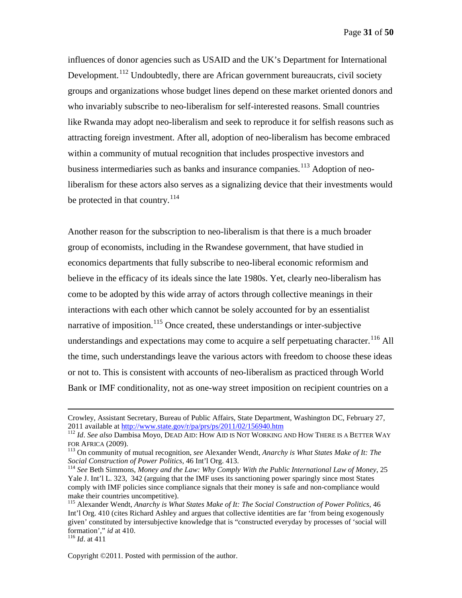influences of donor agencies such as USAID and the UK's Department for International Development.<sup>[112](#page-30-0)</sup> Undoubtedly, there are African government bureaucrats, civil society groups and organizations whose budget lines depend on these market oriented donors and who invariably subscribe to neo-liberalism for self-interested reasons. Small countries like Rwanda may adopt neo-liberalism and seek to reproduce it for selfish reasons such as attracting foreign investment. After all, adoption of neo-liberalism has become embraced within a community of mutual recognition that includes prospective investors and business intermediaries such as banks and insurance companies.<sup>[113](#page-30-1)</sup> Adoption of neoliberalism for these actors also serves as a signalizing device that their investments would be protected in that country.<sup>[114](#page-30-2)</sup>

Another reason for the subscription to neo-liberalism is that there is a much broader group of economists, including in the Rwandese government, that have studied in economics departments that fully subscribe to neo-liberal economic reformism and believe in the efficacy of its ideals since the late 1980s. Yet, clearly neo-liberalism has come to be adopted by this wide array of actors through collective meanings in their interactions with each other which cannot be solely accounted for by an essentialist narrative of imposition.<sup>[115](#page-30-3)</sup> Once created, these understandings or inter-subjective understandings and expectations may come to acquire a self perpetuating character.<sup>[116](#page-30-4)</sup> All the time, such understandings leave the various actors with freedom to choose these ideas or not to. This is consistent with accounts of neo-liberalism as practiced through World Bank or IMF conditionality, not as one-way street imposition on recipient countries on a

<span id="page-30-4"></span>

 $\overline{a}$ 

Crowley, Assistant Secretary, Bureau of Public Affairs, State Department, Washington DC, February 27, 2011 available at http://www.state.gov/r/pa/prs/ps/2011/02/156940.htm

<span id="page-30-0"></span><sup>&</sup>lt;sup>112</sup> *Id. See also* Dambisa Moyo, DEAD AID: HOW AID IS NOT WORKING AND HOW THERE IS A BETTER WAY FOR AFRICA (2009).

<span id="page-30-1"></span><sup>&</sup>lt;sup>113</sup> On community of mutual recognition, *see* Alexander Wendt, *Anarchy is What States Make of It: The Social Construction of Power Politics*, 46 Int'l Org. 413.

<span id="page-30-2"></span><sup>&</sup>lt;sup>114</sup> See Beth Simmons, *Money and the Law: Why Comply With the Public International Law of Money*, 25 Yale J. Int'l L. 323, 342 (arguing that the IMF uses its sanctioning power sparingly since most States comply with IMF policies since compliance signals that their money is safe and non-compliance would make their countries uncompetitive).

<span id="page-30-3"></span><sup>115</sup> Alexander Wendt, *Anarchy is What States Make of It: The Social Construction of Power Politics*, 46 Int'l Org. 410 (cites Richard Ashley and argues that collective identities are far 'from being exogenously given' constituted by intersubjective knowledge that is "constructed everyday by processes of 'social will formation'," *id* at 410. <sup>116</sup> *Id*. at 411

Copyright ©2011. Posted with permission of the author.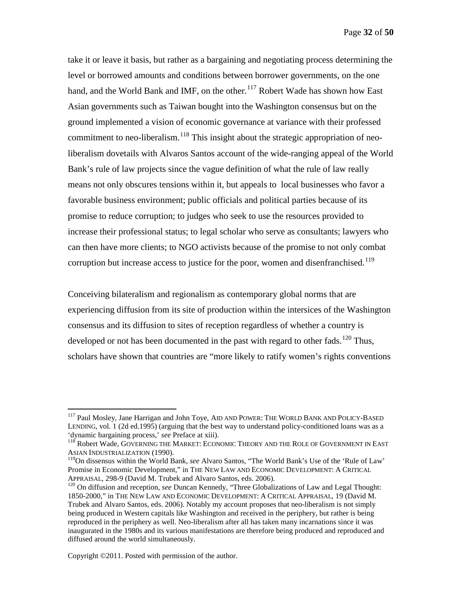take it or leave it basis, but rather as a bargaining and negotiating process determining the level or borrowed amounts and conditions between borrower governments, on the one hand, and the World Bank and IMF, on the other.<sup>[117](#page-31-0)</sup> Robert Wade has shown how East Asian governments such as Taiwan bought into the Washington consensus but on the ground implemented a vision of economic governance at variance with their professed commitment to neo-liberalism.<sup>[118](#page-31-1)</sup> This insight about the strategic appropriation of neoliberalism dovetails with Alvaros Santos account of the wide-ranging appeal of the World Bank's rule of law projects since the vague definition of what the rule of law really means not only obscures tensions within it, but appeals to local businesses who favor a favorable business environment; public officials and political parties because of its promise to reduce corruption; to judges who seek to use the resources provided to increase their professional status; to legal scholar who serve as consultants; lawyers who can then have more clients; to NGO activists because of the promise to not only combat corruption but increase access to justice for the poor, women and disenfranchised.<sup>[119](#page-31-2)</sup>

Conceiving bilateralism and regionalism as contemporary global norms that are experiencing diffusion from its site of production within the intersices of the Washington consensus and its diffusion to sites of reception regardless of whether a country is developed or not has been documented in the past with regard to other fads.<sup>[120](#page-31-3)</sup> Thus, scholars have shown that countries are "more likely to ratify women's rights conventions

<span id="page-31-0"></span><sup>&</sup>lt;sup>117</sup> Paul Mosley, Jane Harrigan and John Toye, AID AND POWER: THE WORLD BANK AND POLICY-BASED LENDING, vol. 1 (2d ed.1995) (arguing that the best way to understand policy-conditioned loans was as a 'dynamic bargaining process,' *see* Preface at xiii).

<span id="page-31-1"></span><sup>118</sup> Robert Wade, GOVERNING THE MARKET: ECONOMIC THEORY AND THE ROLE OF GOVERNMENT IN EAST ASIAN INDUSTRIALIZATION (1990).

<span id="page-31-2"></span><sup>119</sup>On dissensus within the World Bank, *see* Alvaro Santos, "The World Bank's Use of the 'Rule of Law' Promise in Economic Development," in THE NEW LAW AND ECONOMIC DEVELOPMENT: A CRITICAL<br>APPRAISAL, 298-9 (David M. Trubek and Alvaro Santos, eds. 2006).

<span id="page-31-3"></span><sup>&</sup>lt;sup>120</sup> On diffusion and reception, *see* Duncan Kennedy, "Three Globalizations of Law and Legal Thought: 1850-2000," in THE NEW LAW AND ECONOMIC DEVELOPMENT: A CRITICAL APPRAISAL, 19 (David M. Trubek and Alvaro Santos, eds. 2006). Notably my account proposes that neo-liberalism is not simply being produced in Western capitals like Washington and received in the periphery, but rather is being reproduced in the periphery as well. Neo-liberalism after all has taken many incarnations since it was inaugurated in the 1980s and its various manifestations are therefore being produced and reproduced and diffused around the world simultaneously.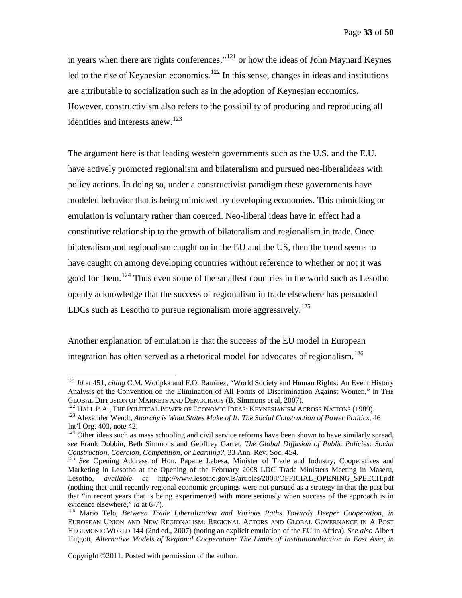in years when there are rights conferences,"[121](#page-32-0) or how the ideas of John Maynard Keynes led to the rise of Keynesian economics.<sup>[122](#page-32-1)</sup> In this sense, changes in ideas and institutions are attributable to socialization such as in the adoption of Keynesian economics. However, constructivism also refers to the possibility of producing and reproducing all identities and interests anew.<sup>[123](#page-32-2)</sup>

The argument here is that leading western governments such as the U.S. and the E.U. have actively promoted regionalism and bilateralism and pursued neo-liberalideas with policy actions. In doing so, under a constructivist paradigm these governments have modeled behavior that is being mimicked by developing economies. This mimicking or emulation is voluntary rather than coerced. Neo-liberal ideas have in effect had a constitutive relationship to the growth of bilateralism and regionalism in trade. Once bilateralism and regionalism caught on in the EU and the US, then the trend seems to have caught on among developing countries without reference to whether or not it was good for them.<sup>[124](#page-32-3)</sup> Thus even some of the smallest countries in the world such as Lesotho openly acknowledge that the success of regionalism in trade elsewhere has persuaded LDCs such as Lesotho to pursue regionalism more aggressively.<sup>[125](#page-32-4)</sup>

Another explanation of emulation is that the success of the EU model in European integration has often served as a rhetorical model for advocates of regionalism.<sup>[126](#page-32-5)</sup>

<span id="page-32-0"></span><sup>&</sup>lt;sup>121</sup> *Id* at 451, *citing* C.M. Wotipka and F.O. Ramirez, "World Society and Human Rights: An Event History Analysis of the Convention on the Elimination of All Forms of Discrimination Against Women," in THE GLOBAL DIFFUSION OF MARKETS AND DEMOCRACY (B. Simmons et al. 2007).

<span id="page-32-1"></span><sup>&</sup>lt;sup>122</sup> HALL P.A., THE POLITICAL POWER OF ECONOMIC IDEAS: KEYNESIANISM ACROSS NATIONS (1989).<br><sup>123</sup> Alexander Wendt, *Anarchy is What States Make of It: The Social Construction of Power Politics*, 46

<span id="page-32-2"></span>Int'l Org. 403, note 42.

<span id="page-32-3"></span> $124$  Other ideas such as mass schooling and civil service reforms have been shown to have similarly spread, *see* Frank Dobbin, Beth Simmons and Geoffrey Garret, *The Global Diffusion of Public Policies: Social* 

<span id="page-32-4"></span><sup>&</sup>lt;sup>125</sup> See Opening Address of Hon. Papane Lebesa, Minister of Trade and Industry, Cooperatives and Marketing in Lesotho at the Opening of the February 2008 LDC Trade Ministers Meeting in Maseru, Lesotho, *available at* http://www.lesotho.gov.ls/articles/2008/OFFICIAL\_OPENING\_SPEECH.pdf (nothing that until recently regional economic groupings were not pursued as a strategy in that the past but that "in recent years that is being experimented with more seriously when success of the approach is in evidence elsewhere," *id* at 6-7).<br><sup>126</sup> Mario Telo, *Between Trade Liberalization and Various Paths Towards Deeper Cooperation, <i>in* 

<span id="page-32-5"></span>EUROPEAN UNION AND NEW REGIONALISM: REGIONAL ACTORS AND GLOBAL GOVERNANCE IN A POST HEGEMONIC WORLD 144 (2nd ed., 2007) (noting an explicit emulation of the EU in Africa). *See also* Albert Higgott, *Alternative Models of Regional Cooperation: The Limits of Institutionalization in East Asia*, *in*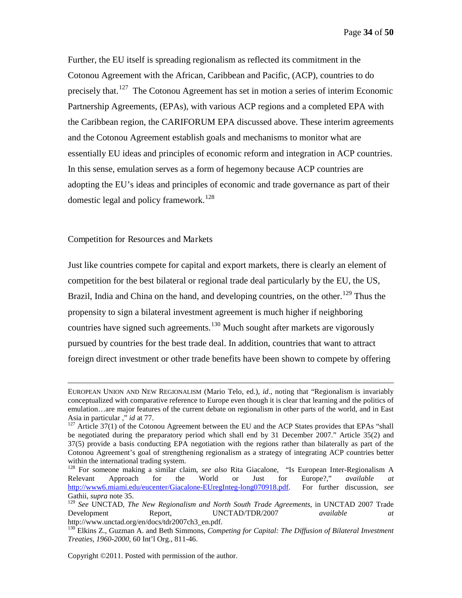Further, the EU itself is spreading regionalism as reflected its commitment in the Cotonou Agreement with the African, Caribbean and Pacific, (ACP), countries to do precisely that.[127](#page-33-1) The Cotonou Agreement has set in motion a series of interim Economic Partnership Agreements, (EPAs), with various ACP regions and a completed EPA with the Caribbean region, the CARIFORUM EPA discussed above. These interim agreements and the Cotonou Agreement establish goals and mechanisms to monitor what are essentially EU ideas and principles of economic reform and integration in ACP countries. In this sense, emulation serves as a form of hegemony because ACP countries are adopting the EU's ideas and principles of economic and trade governance as part of their domestic legal and policy framework.<sup>[128](#page-33-2)</sup>

<span id="page-33-0"></span>Competition for Resources and Markets

 $\overline{a}$ 

Just like countries compete for capital and export markets, there is clearly an element of competition for the best bilateral or regional trade deal particularly by the EU, the US, Brazil, India and China on the hand, and developing countries, on the other.<sup>[129](#page-33-3)</sup> Thus the propensity to sign a bilateral investment agreement is much higher if neighboring countries have signed such agreements.<sup>[130](#page-33-4)</sup> Much sought after markets are vigorously pursued by countries for the best trade deal. In addition, countries that want to attract foreign direct investment or other trade benefits have been shown to compete by offering

EUROPEAN UNION AND NEW REGIONALISM (Mario Telo, ed.), *id*., noting that "Regionalism is invariably conceptualized with comparative reference to Europe even though it is clear that learning and the politics of emulation…are major features of the current debate on regionalism in other parts of the world, and in East Asia in particular ," *id* at 77.

<span id="page-33-1"></span> $127$  Article 37(1) of the Cotonou Agreement between the EU and the ACP States provides that EPAs "shall be negotiated during the preparatory period which shall end by 31 December 2007." Article 35(2) and 37(5) provide a basis conducting EPA negotiation with the regions rather than bilaterally as part of the Cotonou Agreement's goal of strengthening regionalism as a strategy of integrating ACP countries better within the international trading system.

<span id="page-33-2"></span><sup>&</sup>lt;sup>128</sup> For someone making a similar claim, *see also* Rita Giacalone, "Is European Inter-Regionalism A Relevant Approach for the World or Just for Europe?," *available at* Relevant Approach for the World or Just for Europe?," *available at* [http://www6.miami.edu/eucenter/Giacalone-EUregInteg-long070918.pdf.](http://www6.miami.edu/eucenter/Giacalone-EUregInteg-long070918.pdf) For further discussion, *see* Gathii, *supra* note 35.<br><sup>129</sup> *See* UNCTAD, *The New Regionalism and North South Trade Agreements*, in UNCTAD 2007 Trade

<span id="page-33-3"></span>Development Report, UNCTAD/TDR/2007 *available at*<br>http://www.unctad.org/en/docs/tdr2007ch3 en.pdf.

<span id="page-33-4"></span><sup>&</sup>lt;sup>130</sup> Elkins Z., Guzman A. and Beth Simmons, *Competing for Capital: The Diffusion of Bilateral Investment Treaties, 1960-2000*, 60 Int'l Org., 811-46.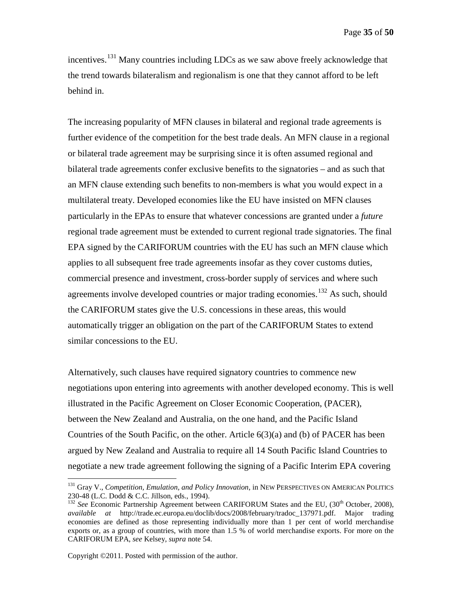Page **35** of **50**

incentives.<sup>[131](#page-34-0)</sup> Many countries including LDCs as we saw above freely acknowledge that the trend towards bilateralism and regionalism is one that they cannot afford to be left behind in.

The increasing popularity of MFN clauses in bilateral and regional trade agreements is further evidence of the competition for the best trade deals. An MFN clause in a regional or bilateral trade agreement may be surprising since it is often assumed regional and bilateral trade agreements confer exclusive benefits to the signatories – and as such that an MFN clause extending such benefits to non-members is what you would expect in a multilateral treaty. Developed economies like the EU have insisted on MFN clauses particularly in the EPAs to ensure that whatever concessions are granted under a *future* regional trade agreement must be extended to current regional trade signatories. The final EPA signed by the CARIFORUM countries with the EU has such an MFN clause which applies to all subsequent free trade agreements insofar as they cover customs duties, commercial presence and investment, cross-border supply of services and where such agreements involve developed countries or major trading economies.<sup>[132](#page-34-1)</sup> As such, should the CARIFORUM states give the U.S. concessions in these areas, this would automatically trigger an obligation on the part of the CARIFORUM States to extend similar concessions to the EU.

Alternatively, such clauses have required signatory countries to commence new negotiations upon entering into agreements with another developed economy. This is well illustrated in the Pacific Agreement on Closer Economic Cooperation, (PACER), between the New Zealand and Australia, on the one hand, and the Pacific Island Countries of the South Pacific, on the other. Article  $6(3)(a)$  and (b) of PACER has been argued by New Zealand and Australia to require all 14 South Pacific Island Countries to negotiate a new trade agreement following the signing of a Pacific Interim EPA covering

<span id="page-34-0"></span><sup>&</sup>lt;sup>131</sup> Gray V., *Competition, Emulation, and Policy Innovation*, in NEW PERSPECTIVES ON AMERICAN POLITICS 230-48 (L.C. Dodd & C.C. Jillson, eds., 1994).

<span id="page-34-1"></span><sup>&</sup>lt;sup>132</sup> See Economic Partnership Agreement between CARIFORUM States and the EU, (30<sup>th</sup> October, 2008), *available at* http://trade.ec.europa.eu/doclib/docs/2008/february/tradoc\_137971.pdf. Major trading economies are defined as those representing individually more than 1 per cent of world merchandise exports or, as a group of countries, with more than 1.5 % of world merchandise exports. For more on the CARIFORUM EPA, *see* Kelsey, *supra* note 54.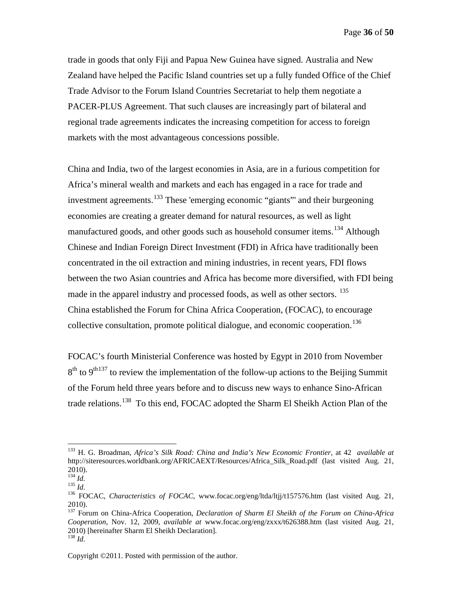Page **36** of **50**

trade in goods that only Fiji and Papua New Guinea have signed. Australia and New Zealand have helped the Pacific Island countries set up a fully funded Office of the Chief Trade Advisor to the Forum Island Countries Secretariat to help them negotiate a PACER-PLUS Agreement. That such clauses are increasingly part of bilateral and regional trade agreements indicates the increasing competition for access to foreign markets with the most advantageous concessions possible.

China and India, two of the largest economies in Asia, are in a furious competition for Africa's mineral wealth and markets and each has engaged in a race for trade and investment agreements.<sup>[133](#page-35-0)</sup> These 'emerging economic "giants" and their burgeoning economies are creating a greater demand for natural resources, as well as light manufactured goods, and other goods such as household consumer items.<sup>[134](#page-35-1)</sup> Although Chinese and Indian Foreign Direct Investment (FDI) in Africa have traditionally been concentrated in the oil extraction and mining industries, in recent years, FDI flows between the two Asian countries and Africa has become more diversified, with FDI being made in the apparel industry and processed foods, as well as other sectors. <sup>[135](#page-35-2)</sup> China established the Forum for China Africa Cooperation, (FOCAC), to encourage collective consultation, promote political dialogue, and economic cooperation.<sup>[136](#page-35-3)</sup>

FOCAC's fourth Ministerial Conference was hosted by Egypt in 2010 from November  $8<sup>th</sup>$  to  $9<sup>th137</sup>$  $9<sup>th137</sup>$  $9<sup>th137</sup>$  to review the implementation of the follow-up actions to the Beijing Summit of the Forum held three years before and to discuss new ways to enhance Sino-African trade relations.<sup>[138](#page-35-5)</sup> To this end, FOCAC adopted the Sharm El Sheikh Action Plan of the

<span id="page-35-0"></span> <sup>133</sup> H. G. Broadman, *Africa's Silk Road: China and India's New Economic Frontier*, at 42 *available at*  http://siteresources.worldbank.org/AFRICAEXT/Resources/Africa\_Silk\_Road.pdf (last visited Aug. 21,  $^{2010)}$ .<br> $^{134}$  *Id.* 

<span id="page-35-3"></span><span id="page-35-2"></span><span id="page-35-1"></span><sup>135</sup> *Id.*<br><sup>136</sup> *Id.* 136 *Id. Characteristics of FOCAC*, www.focac.org/eng/ltda/ltjj/t157576.htm (last visited Aug. 21, 136 FOCAC, characteristics of FOCAC, www.focac.org/eng/ltda/ltjj/t157576.htm (last visited Aug. 21 2010).

<span id="page-35-4"></span><sup>137</sup> Forum on China-Africa Cooperation, *Declaration of Sharm El Sheikh of the Forum on China-Africa Cooperation*, Nov. 12, 2009, *available at* www.focac.org/eng/zxxx/t626388.htm (last visited Aug. 21, 2010) [hereinafter Sharm El Sheikh Declaration]. <sup>138</sup> *Id.*

<span id="page-35-5"></span>Copyright ©2011. Posted with permission of the author.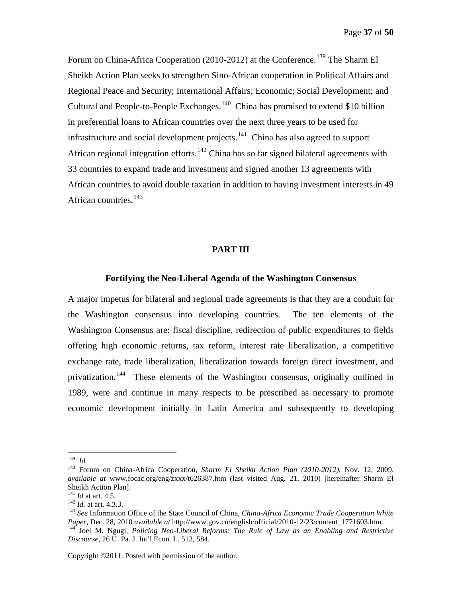Page **37** of **50**

Forum on China-Africa Cooperation (2010-2012) at the Conference.<sup>[139](#page-36-2)</sup> The Sharm El Sheikh Action Plan seeks to strengthen Sino-African cooperation in Political Affairs and Regional Peace and Security; International Affairs; Economic; Social Development; and Cultural and People-to-People Exchanges.<sup>[140](#page-36-3)</sup> China has promised to extend \$10 billion in preferential loans to African countries over the next three years to be used for infrastructure and social development projects.<sup>141</sup> China has also agreed to support African regional integration efforts.<sup>[142](#page-36-5)</sup> China has so far signed bilateral agreements with 33 countries to expand trade and investment and signed another 13 agreements with African countries to avoid double taxation in addition to having investment interests in 49 African countries. $143$ 

#### **PART III**

#### <span id="page-36-0"></span>**Fortifying the Neo-Liberal Agenda of the Washington Consensus**

<span id="page-36-1"></span>A major impetus for bilateral and regional trade agreements is that they are a conduit for the Washington consensus into developing countries. The ten elements of the Washington Consensus are: fiscal discipline, redirection of public expenditures to fields offering high economic returns, tax reform, interest rate liberalization, a competitive exchange rate, trade liberalization, liberalization towards foreign direct investment, and privatization.<sup>[144](#page-36-7)</sup> These elements of the Washington consensus, originally outlined in 1989, were and continue in many respects to be prescribed as necessary to promote economic development initially in Latin America and subsequently to developing

<span id="page-36-2"></span> <sup>139</sup> *Id.*

<span id="page-36-3"></span><sup>140</sup> Forum on China-Africa Cooperation, *Sharm El Sheikh Action Plan (2010-2012)*, Nov. 12, 2009, *available at* www.focac.org/eng/zxxx/t626387.htm (last visited Aug. 21, 2010) [hereinafter Sharm El Sheikh Action Plan].<br><sup>141</sup> *Id* at art. 4.5.

<span id="page-36-6"></span><span id="page-36-5"></span><span id="page-36-4"></span><sup>&</sup>lt;sup>142</sup> *Id.* at art. 4.3.3.<br><sup>143</sup> *See* Information Office of the State Council of China, *China-Africa Economic Trade Cooperation White Paper*, Dec. 28, 2010 *available at http://www.gov.cn/english/official/2010-12/23/cont Paper*, 2011-25, 2011. *Policing Neo-Liberal Reforms: The Rule of Law as an Enabling and Restrictive* 

<span id="page-36-7"></span>*Discourse*, 26 U. Pa. J. Int'l Econ. L. 513, 584.

Copyright ©2011. Posted with permission of the author.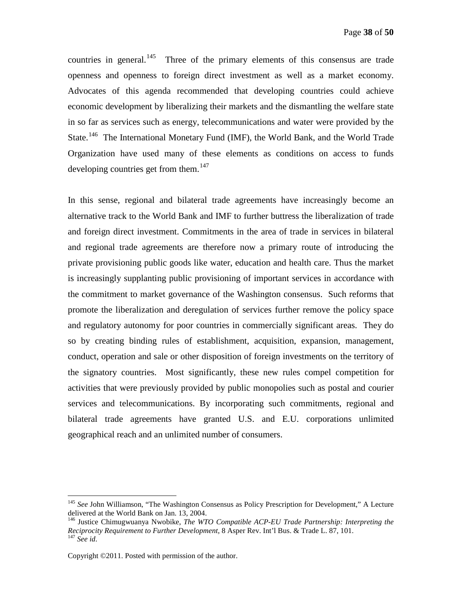countries in general.<sup>145</sup> Three of the primary elements of this consensus are trade openness and openness to foreign direct investment as well as a market economy. Advocates of this agenda recommended that developing countries could achieve economic development by liberalizing their markets and the dismantling the welfare state in so far as services such as energy, telecommunications and water were provided by the State.<sup>[146](#page-37-1)</sup> The International Monetary Fund (IMF), the World Bank, and the World Trade Organization have used many of these elements as conditions on access to funds developing countries get from them.<sup>[147](#page-37-2)</sup>

In this sense, regional and bilateral trade agreements have increasingly become an alternative track to the World Bank and IMF to further buttress the liberalization of trade and foreign direct investment. Commitments in the area of trade in services in bilateral and regional trade agreements are therefore now a primary route of introducing the private provisioning public goods like water, education and health care. Thus the market is increasingly supplanting public provisioning of important services in accordance with the commitment to market governance of the Washington consensus. Such reforms that promote the liberalization and deregulation of services further remove the policy space and regulatory autonomy for poor countries in commercially significant areas. They do so by creating binding rules of establishment, acquisition, expansion, management, conduct, operation and sale or other disposition of foreign investments on the territory of the signatory countries. Most significantly, these new rules compel competition for activities that were previously provided by public monopolies such as postal and courier services and telecommunications. By incorporating such commitments, regional and bilateral trade agreements have granted U.S. and E.U. corporations unlimited geographical reach and an unlimited number of consumers.

<span id="page-37-0"></span><sup>&</sup>lt;sup>145</sup> *See* John Williamson, "The Washington Consensus as Policy Prescription for Development," A Lecture delivered at the World Bank on Jan. 13, 2004.

<span id="page-37-2"></span><span id="page-37-1"></span><sup>&</sup>lt;sup>146</sup> Justice Chimugwuanya Nwobike, *The WTO Compatible ACP-EU Trade Partnership: Interpreting the Reciprocity Requirement to Further Development*, 8 Asper Rev. Int'l Bus. & Trade L. 87, 101. <sup>147</sup> *See id*.

Copyright ©2011. Posted with permission of the author.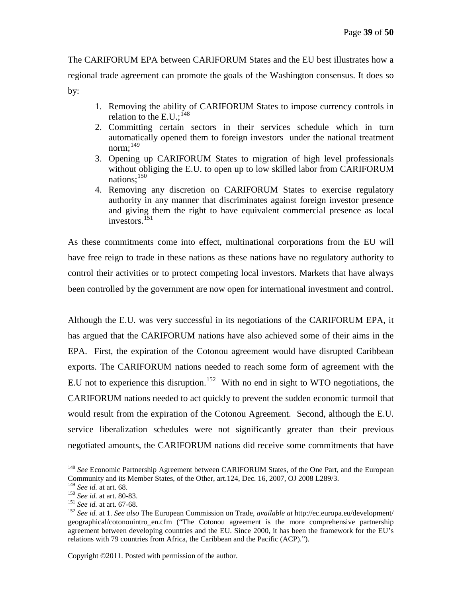The CARIFORUM EPA between CARIFORUM States and the EU best illustrates how a regional trade agreement can promote the goals of the Washington consensus. It does so by:

- 1. Removing the ability of CARIFORUM States to impose currency controls in relation to the E.U.;  $^{148}$  $^{148}$  $^{148}$
- 2. Committing certain sectors in their services schedule which in turn automatically opened them to foreign investors under the national treatment norm; [149](#page-38-1)
- 3. Opening up CARIFORUM States to migration of high level professionals without obliging the E.U. to open up to low skilled labor from CARIFORUM nations; [150](#page-38-2)
- 4. Removing any discretion on CARIFORUM States to exercise regulatory authority in any manner that discriminates against foreign investor presence and giving them the right to have equivalent commercial presence as local investors. [151](#page-38-3)

As these commitments come into effect, multinational corporations from the EU will have free reign to trade in these nations as these nations have no regulatory authority to control their activities or to protect competing local investors. Markets that have always been controlled by the government are now open for international investment and control.

Although the E.U. was very successful in its negotiations of the CARIFORUM EPA, it has argued that the CARIFORUM nations have also achieved some of their aims in the EPA. First, the expiration of the Cotonou agreement would have disrupted Caribbean exports. The CARIFORUM nations needed to reach some form of agreement with the E.U not to experience this disruption.<sup>[152](#page-38-4)</sup> With no end in sight to WTO negotiations, the CARIFORUM nations needed to act quickly to prevent the sudden economic turmoil that would result from the expiration of the Cotonou Agreement. Second, although the E.U. service liberalization schedules were not significantly greater than their previous negotiated amounts, the CARIFORUM nations did receive some commitments that have

<span id="page-38-0"></span><sup>&</sup>lt;sup>148</sup> See Economic Partnership Agreement between CARIFORUM States, of the One Part, and the European Community and its Member States, of the Other, art.124, Dec. 16, 2007, OJ 2008 L289/3.<br><sup>149</sup> See id. at art. 68.

<span id="page-38-4"></span>

<span id="page-38-3"></span><span id="page-38-2"></span><span id="page-38-1"></span><sup>&</sup>lt;sup>150</sup> See id. at art. 80-83.<br><sup>151</sup> See id. at art. 67-68.<br><sup>151</sup> See id. at 1. See also The European Commission on Trade, *available at* http://ec.europa.eu/development/ geographical/cotonouintro\_en.cfm ("The Cotonou agreement is the more comprehensive partnership agreement between developing countries and the EU. Since 2000, it has been the framework for the EU's relations with 79 countries from Africa, the Caribbean and the Pacific (ACP).").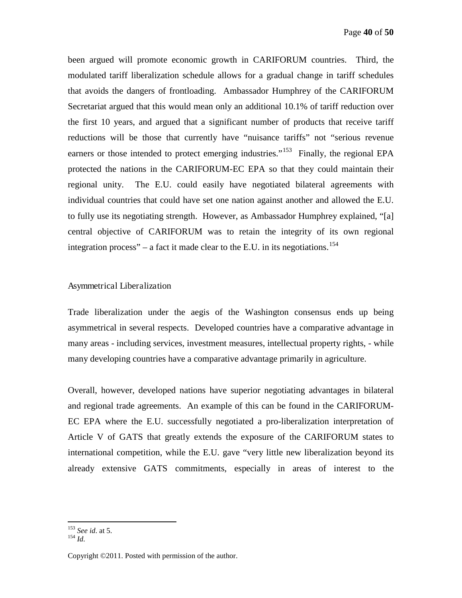been argued will promote economic growth in CARIFORUM countries. Third, the modulated tariff liberalization schedule allows for a gradual change in tariff schedules that avoids the dangers of frontloading. Ambassador Humphrey of the CARIFORUM Secretariat argued that this would mean only an additional 10.1% of tariff reduction over the first 10 years, and argued that a significant number of products that receive tariff reductions will be those that currently have "nuisance tariffs" not "serious revenue earners or those intended to protect emerging industries."<sup>[153](#page-39-1)</sup> Finally, the regional EPA protected the nations in the CARIFORUM-EC EPA so that they could maintain their regional unity. The E.U. could easily have negotiated bilateral agreements with individual countries that could have set one nation against another and allowed the E.U. to fully use its negotiating strength. However, as Ambassador Humphrey explained, "[a] central objective of CARIFORUM was to retain the integrity of its own regional integration process" – a fact it made clear to the E.U. in its negotiations.<sup>[154](#page-39-2)</sup>

#### <span id="page-39-0"></span>Asymmetrical Liberalization

Trade liberalization under the aegis of the Washington consensus ends up being asymmetrical in several respects. Developed countries have a comparative advantage in many areas - including services, investment measures, intellectual property rights, - while many developing countries have a comparative advantage primarily in agriculture.

Overall, however, developed nations have superior negotiating advantages in bilateral and regional trade agreements. An example of this can be found in the CARIFORUM-EC EPA where the E.U. successfully negotiated a pro-liberalization interpretation of Article V of GATS that greatly extends the exposure of the CARIFORUM states to international competition, while the E.U. gave "very little new liberalization beyond its already extensive GATS commitments, especially in areas of interest to the

<span id="page-39-1"></span><sup>153</sup> *See id*. at 5. <sup>154</sup> *Id.*

<span id="page-39-2"></span>

Copyright ©2011. Posted with permission of the author.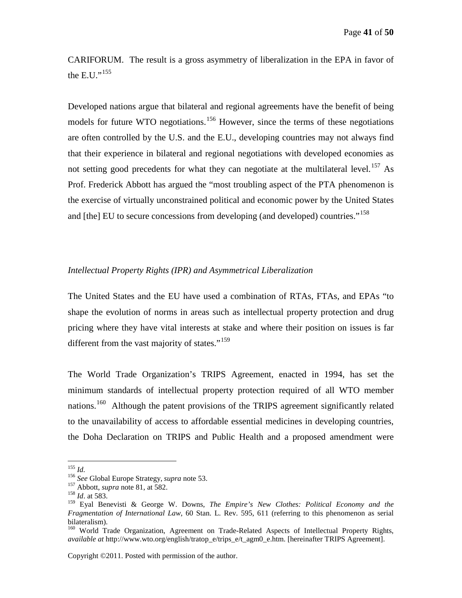CARIFORUM. The result is a gross asymmetry of liberalization in the EPA in favor of the E.U." $155$ 

Developed nations argue that bilateral and regional agreements have the benefit of being models for future WTO negotiations.<sup>[156](#page-40-2)</sup> However, since the terms of these negotiations are often controlled by the U.S. and the E.U., developing countries may not always find that their experience in bilateral and regional negotiations with developed economies as not setting good precedents for what they can negotiate at the multilateral level. [157](#page-40-3) As Prof. Frederick Abbott has argued the "most troubling aspect of the PTA phenomenon is the exercise of virtually unconstrained political and economic power by the United States and [the] EU to secure concessions from developing (and developed) countries."<sup>[158](#page-40-4)</sup>

#### <span id="page-40-0"></span>*Intellectual Property Rights (IPR) and Asymmetrical Liberalization*

The United States and the EU have used a combination of RTAs, FTAs, and EPAs "to shape the evolution of norms in areas such as intellectual property protection and drug pricing where they have vital interests at stake and where their position on issues is far different from the vast majority of states."<sup>[159](#page-40-5)</sup>

The World Trade Organization's TRIPS Agreement, enacted in 1994, has set the minimum standards of intellectual property protection required of all WTO member nations.<sup>[160](#page-40-6)</sup> Although the patent provisions of the TRIPS agreement significantly related to the unavailability of access to affordable essential medicines in developing countries, the Doha Declaration on TRIPS and Public Health and a proposed amendment were

<span id="page-40-1"></span> <sup>155</sup> *Id.*

<span id="page-40-3"></span><span id="page-40-2"></span><sup>156</sup> *See* Global Europe Strategy, *supra* note 53. <sup>157</sup> Abbott, *supra* note 81, at 582. <sup>158</sup> *Id*. at 583.

<span id="page-40-5"></span><span id="page-40-4"></span><sup>159</sup> Eyal Benevisti & George W. Downs, *The Empire's New Clothes: Political Economy and the Fragmentation of International Law*, 60 Stan. L. Rev. 595, 611 (referring to this phenomenon as serial bilateralism).<br><sup>160</sup> World Trade Organization, Agreement on Trade-Related Aspects of Intellectual Property Rights,

<span id="page-40-6"></span>*available at* http://www.wto.org/english/tratop\_e/trips\_e/t\_agm0\_e.htm. [hereinafter TRIPS Agreement].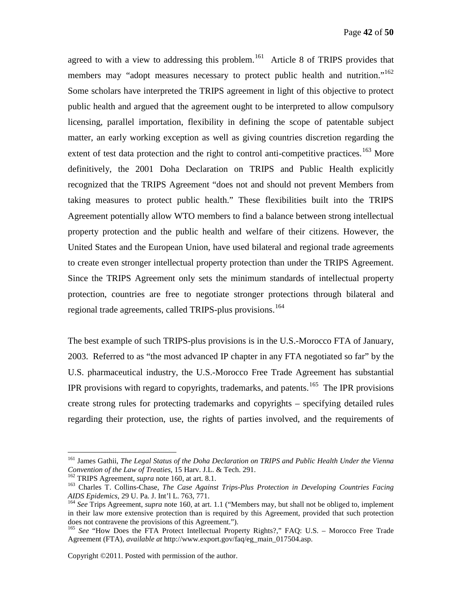agreed to with a view to addressing this problem.<sup>[161](#page-41-0)</sup> Article 8 of TRIPS provides that members may "adopt measures necessary to protect public health and nutrition."<sup>[162](#page-41-1)</sup> Some scholars have interpreted the TRIPS agreement in light of this objective to protect public health and argued that the agreement ought to be interpreted to allow compulsory licensing, parallel importation, flexibility in defining the scope of patentable subject matter, an early working exception as well as giving countries discretion regarding the extent of test data protection and the right to control anti-competitive practices.<sup>[163](#page-41-2)</sup> More definitively, the 2001 Doha Declaration on TRIPS and Public Health explicitly recognized that the TRIPS Agreement "does not and should not prevent Members from taking measures to protect public health." These flexibilities built into the TRIPS Agreement potentially allow WTO members to find a balance between strong intellectual property protection and the public health and welfare of their citizens. However, the United States and the European Union, have used bilateral and regional trade agreements to create even stronger intellectual property protection than under the TRIPS Agreement. Since the TRIPS Agreement only sets the minimum standards of intellectual property protection, countries are free to negotiate stronger protections through bilateral and regional trade agreements, called TRIPS-plus provisions. [164](#page-41-3)

The best example of such TRIPS-plus provisions is in the U.S.-Morocco FTA of January, 2003. Referred to as "the most advanced IP chapter in any FTA negotiated so far" by the U.S. pharmaceutical industry, the U.S.-Morocco Free Trade Agreement has substantial IPR provisions with regard to copyrights, trademarks, and patents.<sup>[165](#page-41-4)</sup> The IPR provisions create strong rules for protecting trademarks and copyrights – specifying detailed rules regarding their protection, use, the rights of parties involved, and the requirements of

<span id="page-41-0"></span> <sup>161</sup> James Gathii, *The Legal Status of the Doha Declaration on TRIPS and Public Health Under the Vienna Convention of the Law of Treaties*, 15 Harv. J.L. & Tech. 291.

<span id="page-41-2"></span><span id="page-41-1"></span><sup>&</sup>lt;sup>163</sup> Charles T. Collins-Chase, *The Case Against Trips-Plus Protection in Developing Countries Facing AIDS Epidemics*, 29 U. Pa. J. Int<sup>2</sup>l L. 763, 771.

<span id="page-41-3"></span><sup>&</sup>lt;sup>164</sup> See Trips Agreement, *supra* note 160, at art. 1.1 ("Members may, but shall not be obliged to, implement in their law more extensive protection than is required by this Agreement, provided that such protection does not contravene the provisions of this Agreement.").

<span id="page-41-4"></span>does not contravene the provisions of the provisions of the property Rights?," FAQ: U.S. – Morocco Free Trade Agreement (FTA), *available at* http://www.export.gov/faq/eg\_main\_017504.asp.

Copyright ©2011. Posted with permission of the author.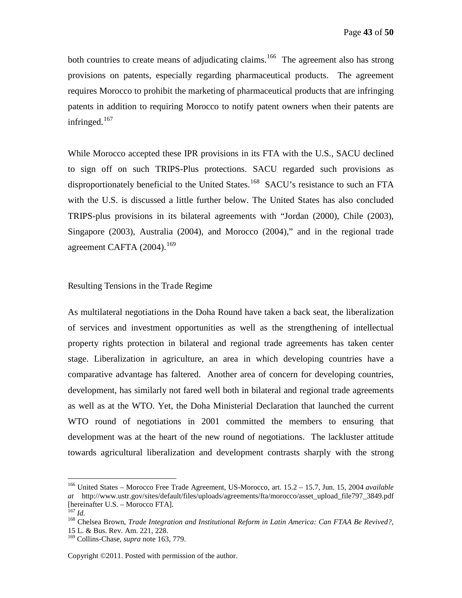both countries to create means of adjudicating claims.<sup>[166](#page-42-1)</sup> The agreement also has strong provisions on patents, especially regarding pharmaceutical products. The agreement requires Morocco to prohibit the marketing of pharmaceutical products that are infringing patents in addition to requiring Morocco to notify patent owners when their patents are infringed. $167$ 

While Morocco accepted these IPR provisions in its FTA with the U.S., SACU declined to sign off on such TRIPS-Plus protections. SACU regarded such provisions as disproportionately beneficial to the United States.<sup>[168](#page-42-3)</sup> SACU's resistance to such an FTA with the U.S. is discussed a little further below. The United States has also concluded TRIPS-plus provisions in its bilateral agreements with "Jordan (2000), Chile (2003), Singapore (2003), Australia (2004), and Morocco (2004)," and in the regional trade agreement CAFTA  $(2004)$ .<sup>[169](#page-42-4)</sup>

#### <span id="page-42-0"></span>Resulting Tensions in the Trade Regime

As multilateral negotiations in the Doha Round have taken a back seat, the liberalization of services and investment opportunities as well as the strengthening of intellectual property rights protection in bilateral and regional trade agreements has taken center stage. Liberalization in agriculture, an area in which developing countries have a comparative advantage has faltered. Another area of concern for developing countries, development, has similarly not fared well both in bilateral and regional trade agreements as well as at the WTO. Yet, the Doha Ministerial Declaration that launched the current WTO round of negotiations in 2001 committed the members to ensuring that development was at the heart of the new round of negotiations. The lackluster attitude towards agricultural liberalization and development contrasts sharply with the strong

<span id="page-42-1"></span> <sup>166</sup> United States – Morocco Free Trade Agreement, US-Morocco, art. 15.2 – 15.7, Jun. 15, 2004 *available at* http://www.ustr.gov/sites/default/files/uploads/agreements/fta/morocco/asset\_upload\_file797\_3849.pdf [hereinafter U.S. – Morocco FTA]. <sup>167</sup> *Id.* <sup>168</sup> Chelsea Brown, *Trade Integration and Institutional Reform in Latin America: Can FTAA Be Revived?*,

<span id="page-42-3"></span><span id="page-42-2"></span><sup>15</sup> L. & Bus. Rev. Am. 221, 228.

<span id="page-42-4"></span><sup>169</sup> Collins-Chase, *supra* note 163, 779.

Copyright ©2011. Posted with permission of the author.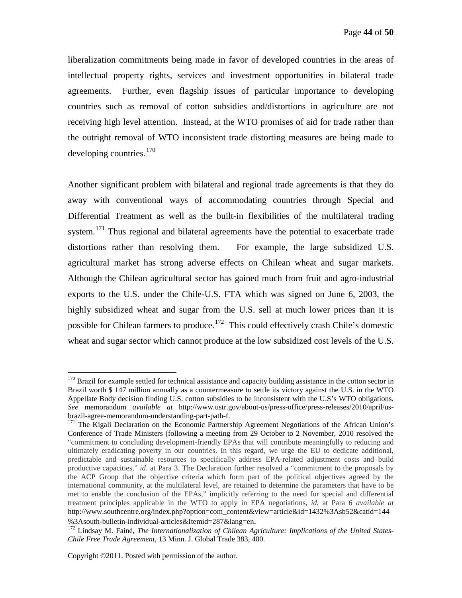liberalization commitments being made in favor of developed countries in the areas of intellectual property rights, services and investment opportunities in bilateral trade agreements. Further, even flagship issues of particular importance to developing countries such as removal of cotton subsidies and/distortions in agriculture are not receiving high level attention. Instead, at the WTO promises of aid for trade rather than the outright removal of WTO inconsistent trade distorting measures are being made to developing countries. [170](#page-43-0)

Another significant problem with bilateral and regional trade agreements is that they do away with conventional ways of accommodating countries through Special and Differential Treatment as well as the built-in flexibilities of the multilateral trading system.<sup>[171](#page-43-1)</sup> Thus regional and bilateral agreements have the potential to exacerbate trade distortions rather than resolving them. For example, the large subsidized U.S. agricultural market has strong adverse effects on Chilean wheat and sugar markets. Although the Chilean agricultural sector has gained much from fruit and agro-industrial exports to the U.S. under the Chile-U.S. FTA which was signed on June 6, 2003, the highly subsidized wheat and sugar from the U.S. sell at much lower prices than it is possible for Chilean farmers to produce.<sup>[172](#page-43-2)</sup> This could effectively crash Chile's domestic wheat and sugar sector which cannot produce at the low subsidized cost levels of the U.S.

<span id="page-43-0"></span><sup>&</sup>lt;sup>170</sup> Brazil for example settled for technical assistance and capacity building assistance in the cotton sector in Brazil worth \$ 147 million annually as a countermeasure to settle its victory against the U.S. in the WTO Appellate Body decision finding U.S. cotton subsidies to be inconsistent with the U.S's WTO obligations. *See* memorandum *available at* http://www.ustr.gov/about-us/press-office/press-releases/2010/april/usbrazil-agree-memorandum-understanding-part-path-f.

<span id="page-43-1"></span><sup>&</sup>lt;sup>171</sup> The Kigali Declaration on the Economic Partnership Agreement Negotiations of the African Union's Conference of Trade Ministers (following a meeting from 29 October to 2 November, 2010 resolved the "commitment to concluding development-friendly EPAs that will contribute meaningfully to reducing and ultimately eradicating poverty in our countries. In this regard, we urge the EU to dedicate additional, predictable and sustainable resources to specifically address EPA-related adjustment costs and build productive capacities," *id*. at Para 3. The Declaration further resolved a "commitment to the proposals by the ACP Group that the objective criteria which form part of the political objectives agreed by the international community, at the multilateral level, are retained to determine the parameters that have to be met to enable the conclusion of the EPAs," implicitly referring to the need for special and differential treatment principles applicable in the WTO to apply in EPA negotiations, *id.* at Para 6 *available at* http://www.southcentre.org/index.php?option=com\_content&view=article&id=1432%3Asb52&catid=144

<span id="page-43-2"></span><sup>%3</sup>Asouth-bulletin-individual-articles&Itemid=287&lang=en. 172 Lindsay M. Fainé, *The Internationalization of Chilean Agriculture: Implications of the United States-Chile Free Trade Agreement*, 13 Minn. J. Global Trade 383, 400.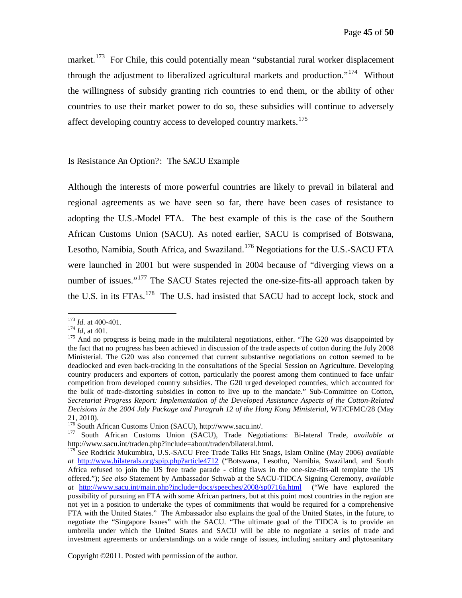market.<sup>[173](#page-44-1)</sup> For Chile, this could potentially mean "substantial rural worker displacement through the adjustment to liberalized agricultural markets and production.<sup> $174$ </sup> Without the willingness of subsidy granting rich countries to end them, or the ability of other countries to use their market power to do so, these subsidies will continue to adversely affect developing country access to developed country markets.<sup>[175](#page-44-3)</sup>

#### <span id="page-44-0"></span>Is Resistance An Option?: The SACU Example

Although the interests of more powerful countries are likely to prevail in bilateral and regional agreements as we have seen so far, there have been cases of resistance to adopting the U.S.-Model FTA. The best example of this is the case of the Southern African Customs Union (SACU). As noted earlier, SACU is comprised of Botswana, Lesotho, Namibia, South Africa, and Swaziland.<sup>[176](#page-44-4)</sup> Negotiations for the U.S.-SACU FTA were launched in 2001 but were suspended in 2004 because of "diverging views on a number of issues."<sup>[177](#page-44-5)</sup> The SACU States rejected the one-size-fits-all approach taken by the U.S. in its FTAs.<sup>[178](#page-44-6)</sup> The U.S. had insisted that SACU had to accept lock, stock and

<span id="page-44-1"></span><sup>&</sup>lt;sup>173</sup> *Id.* at 400-401.<br><sup>174</sup> *Id.* at 401.

<span id="page-44-3"></span><span id="page-44-2"></span><sup>&</sup>lt;sup>175</sup> And no progress is being made in the multilateral negotiations, either. "The G20 was disappointed by the fact that no progress has been achieved in discussion of the trade aspects of cotton during the July 2008 Ministerial. The G20 was also concerned that current substantive negotiations on cotton seemed to be deadlocked and even back-tracking in the consultations of the Special Session on Agriculture. Developing country producers and exporters of cotton, particularly the poorest among them continued to face unfair competition from developed country subsidies. The G20 urged developed countries, which accounted for the bulk of trade-distorting subsidies in cotton to live up to the mandate." Sub-Committee on Cotton, *Secretariat Progress Report: Implementation of the Developed Assistance Aspects of the Cotton-Related Decisions in the 2004 July Package and Paragrah 12 of the Hong Kong Ministerial*, WT/CFMC/28 (May 21, 2010).<br> $176$  South African Customs Union (SACU), http://www.sacu.int/.

<span id="page-44-5"></span><span id="page-44-4"></span><sup>&</sup>lt;sup>177</sup> South African Customs Union (SACU), Trade Negotiations: Bi-lateral Trade, *available at* http://www.sacu.int/traden.php?include=about/traden/bilateral.html. <sup>178</sup> *See* Rodrick Mukumbira, U.S.-SACU Free Trade Talks Hit Snags, Islam Online (May 2006) *available* 

<span id="page-44-6"></span>*at* <http://www.bilaterals.org/spip.php?article4712> ("Botswana, Lesotho, Namibia, Swaziland, and South Africa refused to join the US free trade parade - citing flaws in the one-size-fits-all template the US offered."); *See also* Statement by Ambassador Schwab at the SACU-TIDCA Signing Ceremony, *available at* <http://www.sacu.int/main.php?include=docs/speeches/2008/sp0716a.html>("We have explored the possibility of pursuing an FTA with some African partners, but at this point most countries in the region are not yet in a position to undertake the types of commitments that would be required for a comprehensive FTA with the United States." The Ambassador also explains the goal of the United States, in the future, to negotiate the "Singapore Issues" with the SACU. "The ultimate goal of the TIDCA is to provide an umbrella under which the United States and SACU will be able to negotiate a series of trade and investment agreements or understandings on a wide range of issues, including sanitary and phytosanitary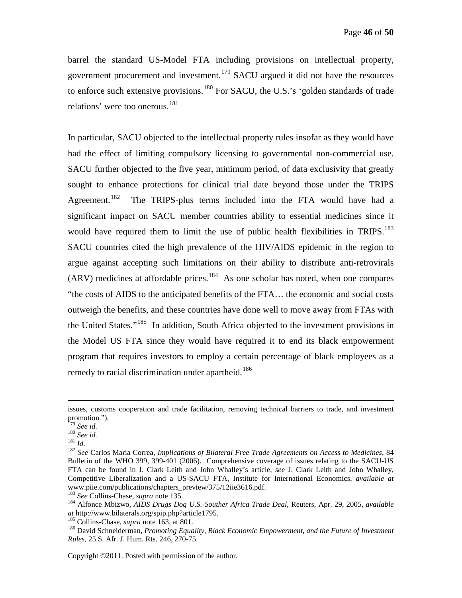barrel the standard US-Model FTA including provisions on intellectual property, government procurement and investment.[179](#page-45-0) SACU argued it did not have the resources to enforce such extensive provisions.<sup>[180](#page-45-1)</sup> For SACU, the U.S.'s 'golden standards of trade relations' were too onerous.<sup>[181](#page-45-2)</sup>

In particular, SACU objected to the intellectual property rules insofar as they would have had the effect of limiting compulsory licensing to governmental non-commercial use. SACU further objected to the five year, minimum period, of data exclusivity that greatly sought to enhance protections for clinical trial date beyond those under the TRIPS Agreement.<sup>[182](#page-45-3)</sup> The TRIPS-plus terms included into the FTA would have had a significant impact on SACU member countries ability to essential medicines since it would have required them to limit the use of public health flexibilities in TRIPS.<sup>[183](#page-45-4)</sup> SACU countries cited the high prevalence of the HIV/AIDS epidemic in the region to argue against accepting such limitations on their ability to distribute anti-retrovirals  $(ARV)$  medicines at affordable prices.<sup>[184](#page-45-5)</sup> As one scholar has noted, when one compares "the costs of AIDS to the anticipated benefits of the FTA… the economic and social costs outweigh the benefits, and these countries have done well to move away from FTAs with the United States."<sup>[185](#page-45-6)</sup> In addition, South Africa objected to the investment provisions in the Model US FTA since they would have required it to end its black empowerment program that requires investors to employ a certain percentage of black employees as a remedy to racial discrimination under apartheid.<sup>[186](#page-45-7)</sup>

 $\overline{a}$ 

issues, customs cooperation and trade facilitation, removing technical barriers to trade, and investment promotion.").<br> $^{179}$  See id.

<span id="page-45-3"></span>

<span id="page-45-2"></span><span id="page-45-1"></span><span id="page-45-0"></span><sup>179</sup> *See id.* <sup>180</sup> *See id.* <sup>181</sup> *Id.* <sup>182</sup> *See* Carlos Maria Correa, *Implications of Bilateral Free Trade Agreements on Access to Medicines*, 84 Bulletin of the WHO 399, 399-401 (2006). Comprehensive coverage of issues relating to the SACU-US FTA can be found in J. Clark Leith and John Whalley's article, *see* J. Clark Leith and John Whalley, Competitive Liberalization and a US-SACU FTA, Institute for International Economics, *available at*

<span id="page-45-5"></span>

<span id="page-45-4"></span>www.piie.com/publications/chapters\_preview/375/12iie3616.pdf.<br><sup>183</sup> See Collins-Chase, *supra* note 135.<br><sup>184</sup> Alfonce Mbizwo, *AIDS Drugs Dog U.S.-Souther Africa Trade Deal*, Reuters, Apr. 29, 2005, *available*<br>*at* http:

<span id="page-45-7"></span><span id="page-45-6"></span><sup>&</sup>lt;sup>185</sup> Collins-Chase, *supra* note 163, at 801. 186 *Collins-Chase Collins-Chase, <i>supra* note 163, at 801. 186 David Schneiderman, *Promoting Equality, Black Economic Empowerment, and the Future of Investment Rules,* 25 S. Afr. J. Hum. Rts. 246, 270-75.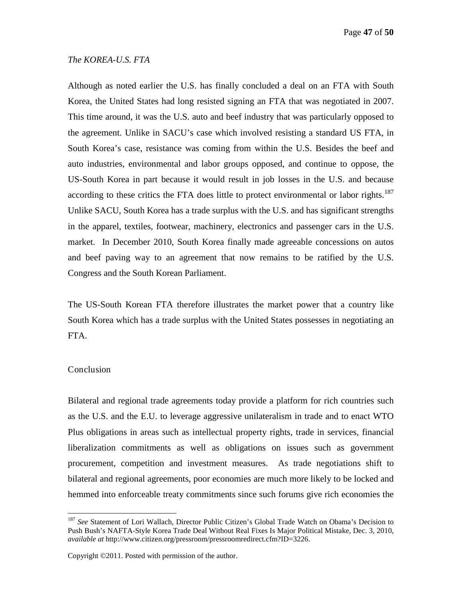Page **47** of **50**

#### <span id="page-46-0"></span>*The KOREA-U.S. FTA*

Although as noted earlier the U.S. has finally concluded a deal on an FTA with South Korea, the United States had long resisted signing an FTA that was negotiated in 2007. This time around, it was the U.S. auto and beef industry that was particularly opposed to the agreement. Unlike in SACU's case which involved resisting a standard US FTA, in South Korea's case, resistance was coming from within the U.S. Besides the beef and auto industries, environmental and labor groups opposed, and continue to oppose, the US-South Korea in part because it would result in job losses in the U.S. and because according to these critics the FTA does little to protect environmental or labor rights.<sup>[187](#page-46-2)</sup> Unlike SACU, South Korea has a trade surplus with the U.S. and has significant strengths in the apparel, textiles, footwear, machinery, electronics and passenger cars in the U.S. market. In December 2010, South Korea finally made agreeable concessions on autos and beef paving way to an agreement that now remains to be ratified by the U.S. Congress and the South Korean Parliament.

The US-South Korean FTA therefore illustrates the market power that a country like South Korea which has a trade surplus with the United States possesses in negotiating an FTA.

#### <span id="page-46-1"></span>Conclusion

Bilateral and regional trade agreements today provide a platform for rich countries such as the U.S. and the E.U. to leverage aggressive unilateralism in trade and to enact WTO Plus obligations in areas such as intellectual property rights, trade in services, financial liberalization commitments as well as obligations on issues such as government procurement, competition and investment measures. As trade negotiations shift to bilateral and regional agreements, poor economies are much more likely to be locked and hemmed into enforceable treaty commitments since such forums give rich economies the

<span id="page-46-2"></span> <sup>187</sup> *See* Statement of Lori Wallach, Director Public Citizen's Global Trade Watch on Obama's Decision to Push Bush's NAFTA-Style Korea Trade Deal Without Real Fixes Is Major Political Mistake, Dec. 3, 2010, *available at* http://www.citizen.org/pressroom/pressroomredirect.cfm?ID=3226.

Copyright ©2011. Posted with permission of the author.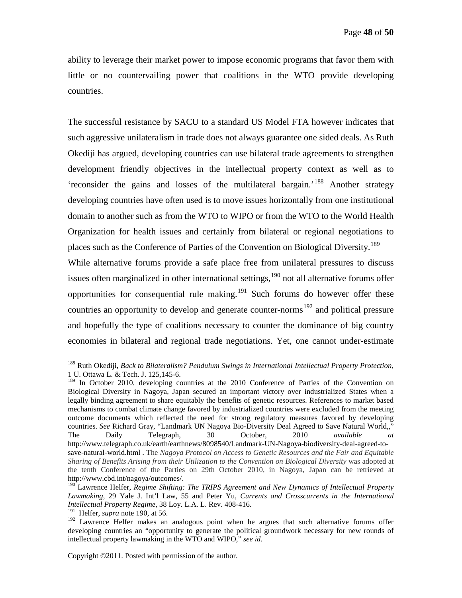ability to leverage their market power to impose economic programs that favor them with little or no countervailing power that coalitions in the WTO provide developing countries.

The successful resistance by SACU to a standard US Model FTA however indicates that such aggressive unilateralism in trade does not always guarantee one sided deals. As Ruth Okediji has argued, developing countries can use bilateral trade agreements to strengthen development friendly objectives in the intellectual property context as well as to 'reconsider the gains and losses of the multilateral bargain.'[188](#page-47-0) Another strategy developing countries have often used is to move issues horizontally from one institutional domain to another such as from the WTO to WIPO or from the WTO to the World Health Organization for health issues and certainly from bilateral or regional negotiations to places such as the Conference of Parties of the Convention on Biological Diversity.<sup>[189](#page-47-1)</sup>

While alternative forums provide a safe place free from unilateral pressures to discuss issues often marginalized in other international settings,  $190$  not all alternative forums offer opportunities for consequential rule making.<sup>[191](#page-47-3)</sup> Such forums do however offer these countries an opportunity to develop and generate counter-norms<sup>[192](#page-47-4)</sup> and political pressure and hopefully the type of coalitions necessary to counter the dominance of big country economies in bilateral and regional trade negotiations. Yet, one cannot under-estimate

<span id="page-47-0"></span> <sup>188</sup> Ruth Okediji, *Back to Bilateralism? Pendulum Swings in International Intellectual Property Protection*, 1 U. Ottawa L. & Tech. J. 125,145-6.

<span id="page-47-1"></span><sup>&</sup>lt;sup>189</sup> In October 2010, developing countries at the 2010 Conference of Parties of the Convention on Biological Diversity in Nagoya, Japan secured an important victory over industrialized States when a legally binding agreement to share equitably the benefits of genetic resources. References to market based mechanisms to combat climate change favored by industrialized countries were excluded from the meeting outcome documents which reflected the need for strong regulatory measures favored by developing countries. *See* Richard Gray, "Landmark UN Nagoya Bio-Diversity Deal Agreed to Save Natural World,," The Daily Telegraph, 30 October, 2010 *available at* http://www.telegraph.co.uk/earth/earthnews/8098540/Landmark-UN-Nagoya-biodiversity-deal-agreed-tosave-natural-world.html . The *Nagoya Protocol on Access to Genetic Resources and the Fair and Equitable Sharing of Benefits Arising from their Utilization to the Convention on Biological Diversity* was adopted at the tenth Conference of the Parties on 29th October 2010, in Nagoya, Japan can be retrieved at http://www.cbd.int/nagoya/outcomes/.

<span id="page-47-2"></span><sup>&</sup>lt;sup>190</sup> Lawrence Helfer, *Regime Shifting: The TRIPS Agreement and New Dynamics of Intellectual Property Lawmaking*, 29 Yale J. Int'l Law, 55 and Peter Yu, *Currents and Crosscurrents in the International* 

<span id="page-47-4"></span><span id="page-47-3"></span><sup>&</sup>lt;sup>191</sup> Helfer, *supra* note 190, at 56. **192** Lawrence Helfer makes an analogous point when he argues that such alternative forums offer developing countries an "opportunity to generate the political groundwork necessary for new rounds of intellectual property lawmaking in the WTO and WIPO," *see id.*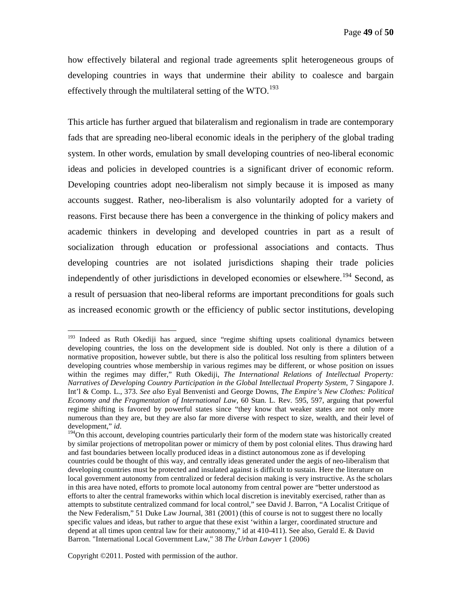how effectively bilateral and regional trade agreements split heterogeneous groups of developing countries in ways that undermine their ability to coalesce and bargain effectively through the multilateral setting of the  $WTO$ .<sup>[193](#page-48-0)</sup>

This article has further argued that bilateralism and regionalism in trade are contemporary fads that are spreading neo-liberal economic ideals in the periphery of the global trading system. In other words, emulation by small developing countries of neo-liberal economic ideas and policies in developed countries is a significant driver of economic reform. Developing countries adopt neo-liberalism not simply because it is imposed as many accounts suggest. Rather, neo-liberalism is also voluntarily adopted for a variety of reasons. First because there has been a convergence in the thinking of policy makers and academic thinkers in developing and developed countries in part as a result of socialization through education or professional associations and contacts. Thus developing countries are not isolated jurisdictions shaping their trade policies independently of other jurisdictions in developed economies or elsewhere.<sup>[194](#page-48-1)</sup> Second, as a result of persuasion that neo-liberal reforms are important preconditions for goals such as increased economic growth or the efficiency of public sector institutions, developing

<span id="page-48-0"></span><sup>&</sup>lt;sup>193</sup> Indeed as Ruth Okediji has argued, since "regime shifting upsets coalitional dynamics between developing countries, the loss on the development side is doubled. Not only is there a dilution of a normative proposition, however subtle, but there is also the political loss resulting from splinters between developing countries whose membership in various regimes may be different, or whose position on issues within the regimes may differ," Ruth Okediji, *The International Relations of Intellectual Property: Narratives of Developing Country Participation in the Global Intellectual Property System*, 7 Singapore J. Int'l & Comp. L., 373. *See also* Eyal Benvenisti and George Downs, *The Empire's New Clothes: Political Economy and the Fragmentation of International Law*, 60 Stan. L. Rev. 595, 597, arguing that powerful regime shifting is favored by powerful states since "they know that weaker states are not only more numerous than they are, but they are also far more diverse with respect to size, wealth, and their level of development," *id*.

<span id="page-48-1"></span><sup>&</sup>lt;sup>194</sup>On this account, developing countries particularly their form of the modern state was historically created by similar projections of metropolitan power or mimicry of them by post colonial elites. Thus drawing hard and fast boundaries between locally produced ideas in a distinct autonomous zone as if developing countries could be thought of this way, and centrally ideas generated under the aegis of neo-liberalism that developing countries must be protected and insulated against is difficult to sustain. Here the literature on local government autonomy from centralized or federal decision making is very instructive. As the scholars in this area have noted, efforts to promote local autonomy from central power are "better understood as efforts to alter the central frameworks within which local discretion is inevitably exercised, rather than as attempts to substitute centralized command for local control," see David J. Barron, "A Localist Critique of the New Federalism," 51 Duke Law Journal, 381 (2001) (this of course is not to suggest there no locally specific values and ideas, but rather to argue that these exist 'within a larger, coordinated structure and depend at all times upon central law for their autonomy," id at 410-411). See also, Gerald E. & David Barron. "International Local Government Law," 38 *The Urban Lawyer* 1 (2006)